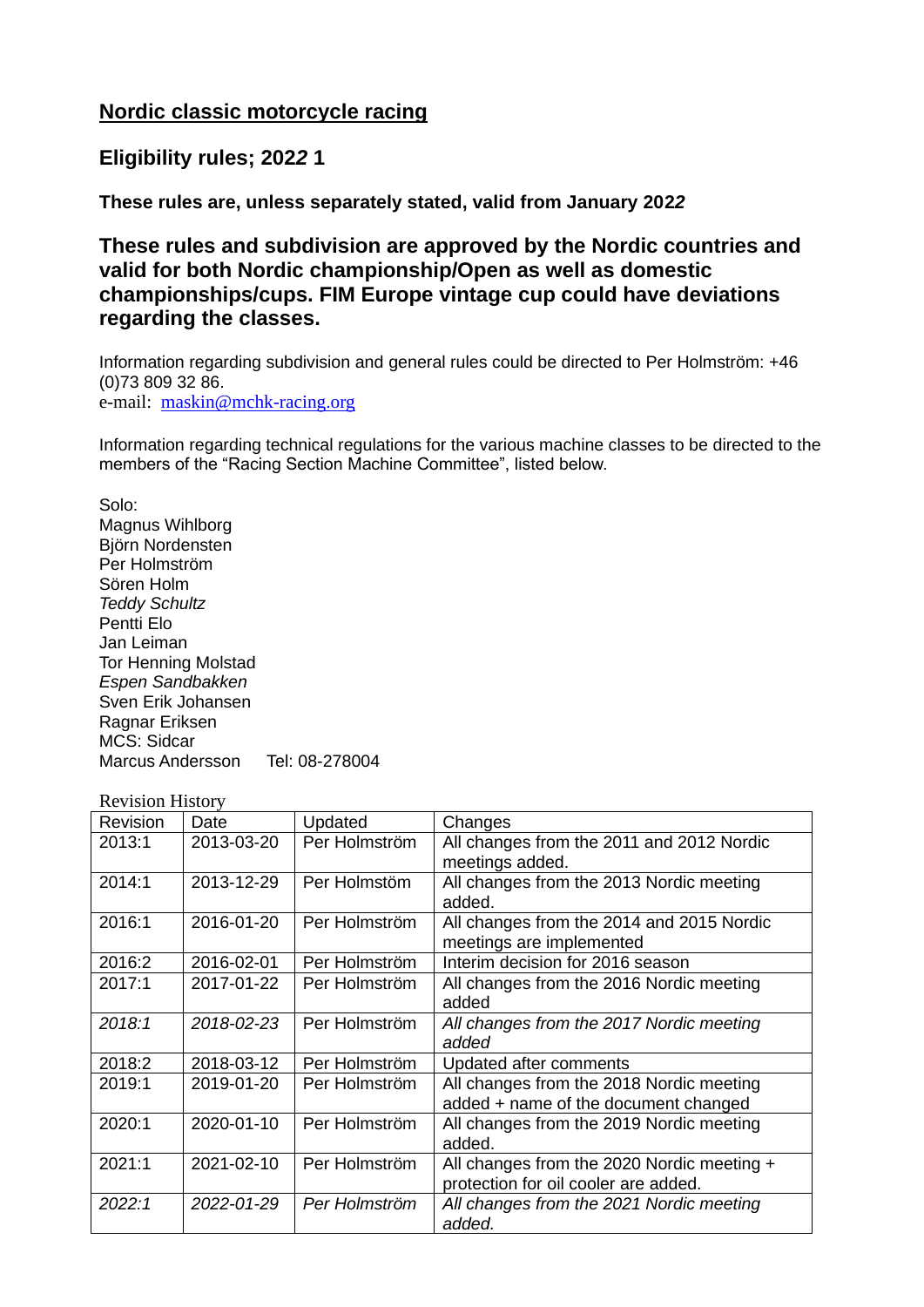# **Nordic classic motorcycle racing**

# **Eligibility rules; 202***2* **1**

**These rules are, unless separately stated, valid from January 202***2*

**These rules and subdivision are approved by the Nordic countries and valid for both Nordic championship/Open as well as domestic championships/cups. FIM Europe vintage cup could have deviations regarding the classes.**

Information regarding subdivision and general rules could be directed to Per Holmström: +46 (0)73 809 32 86. e-mail: [maskin@mchk-racing.org](mailto:maskin@mchk-racing.org)

Information regarding technical regulations for the various machine classes to be directed to the members of the "Racing Section Machine Committee", listed below.

Solo:

Magnus Wihlborg Björn Nordensten Per Holmström Sören Holm *Teddy Schultz* Pentti Elo Jan Leiman Tor Henning Molstad *Espen Sandbakken* Sven Erik Johansen Ragnar Eriksen MCS: Sidcar Marcus Andersson Tel: 08-278004

#### Revision History

| Revision | Date       | Updated       | Changes                                                                            |
|----------|------------|---------------|------------------------------------------------------------------------------------|
| 2013:1   | 2013-03-20 | Per Holmström | All changes from the 2011 and 2012 Nordic<br>meetings added.                       |
| 2014:1   | 2013-12-29 | Per Holmstöm  | All changes from the 2013 Nordic meeting<br>added.                                 |
| 2016:1   | 2016-01-20 | Per Holmström | All changes from the 2014 and 2015 Nordic<br>meetings are implemented              |
| 2016:2   | 2016-02-01 | Per Holmström | Interim decision for 2016 season                                                   |
| 2017:1   | 2017-01-22 | Per Holmström | All changes from the 2016 Nordic meeting<br>added                                  |
| 2018:1   | 2018-02-23 | Per Holmström | All changes from the 2017 Nordic meeting<br>added                                  |
| 2018:2   | 2018-03-12 | Per Holmström | Updated after comments                                                             |
| 2019:1   | 2019-01-20 | Per Holmström | All changes from the 2018 Nordic meeting<br>added + name of the document changed   |
| 2020:1   | 2020-01-10 | Per Holmström | All changes from the 2019 Nordic meeting<br>added.                                 |
| 2021:1   | 2021-02-10 | Per Holmström | All changes from the 2020 Nordic meeting +<br>protection for oil cooler are added. |
| 2022:1   | 2022-01-29 | Per Holmström | All changes from the 2021 Nordic meeting<br>added.                                 |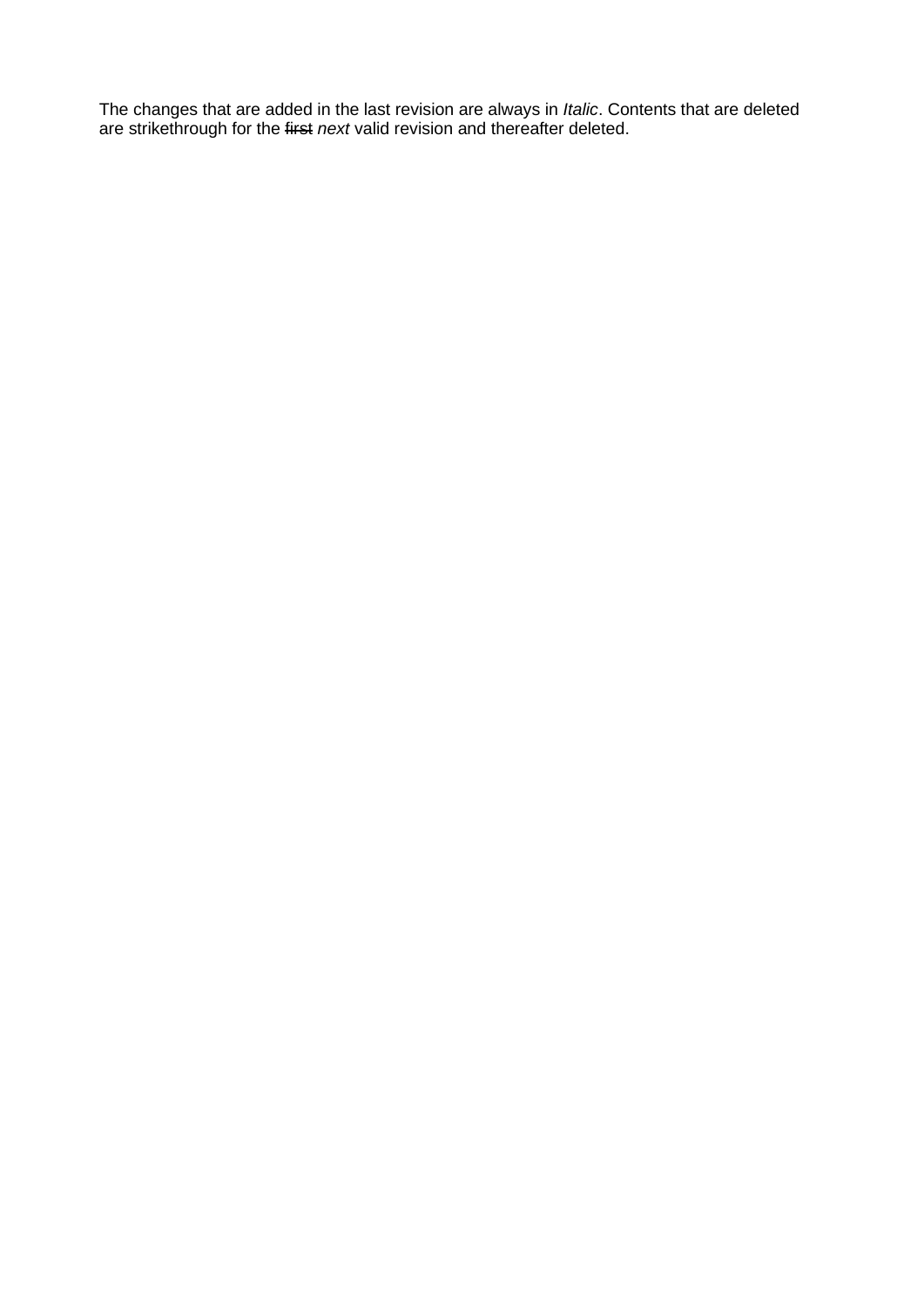The changes that are added in the last revision are always in *Italic*. Contents that are deleted are strikethrough for the first *next* valid revision and thereafter deleted.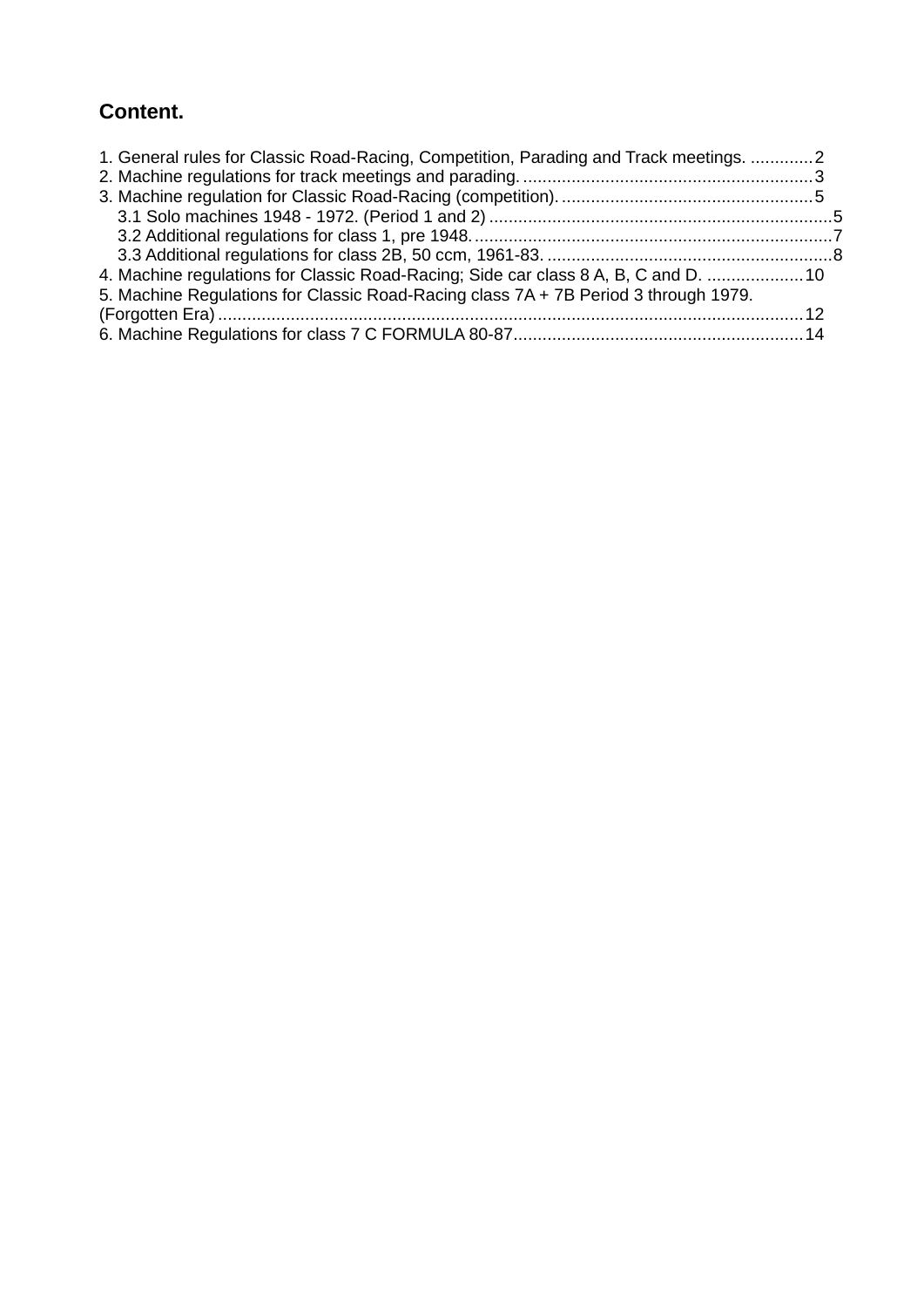# **Content.**

| 1. General rules for Classic Road-Racing, Competition, Parading and Track meetings. 2 |  |
|---------------------------------------------------------------------------------------|--|
|                                                                                       |  |
|                                                                                       |  |
|                                                                                       |  |
|                                                                                       |  |
|                                                                                       |  |
| 4. Machine regulations for Classic Road-Racing; Side car class 8 A, B, C and D.  10   |  |
| 5. Machine Regulations for Classic Road-Racing class 7A + 7B Period 3 through 1979.   |  |
|                                                                                       |  |
|                                                                                       |  |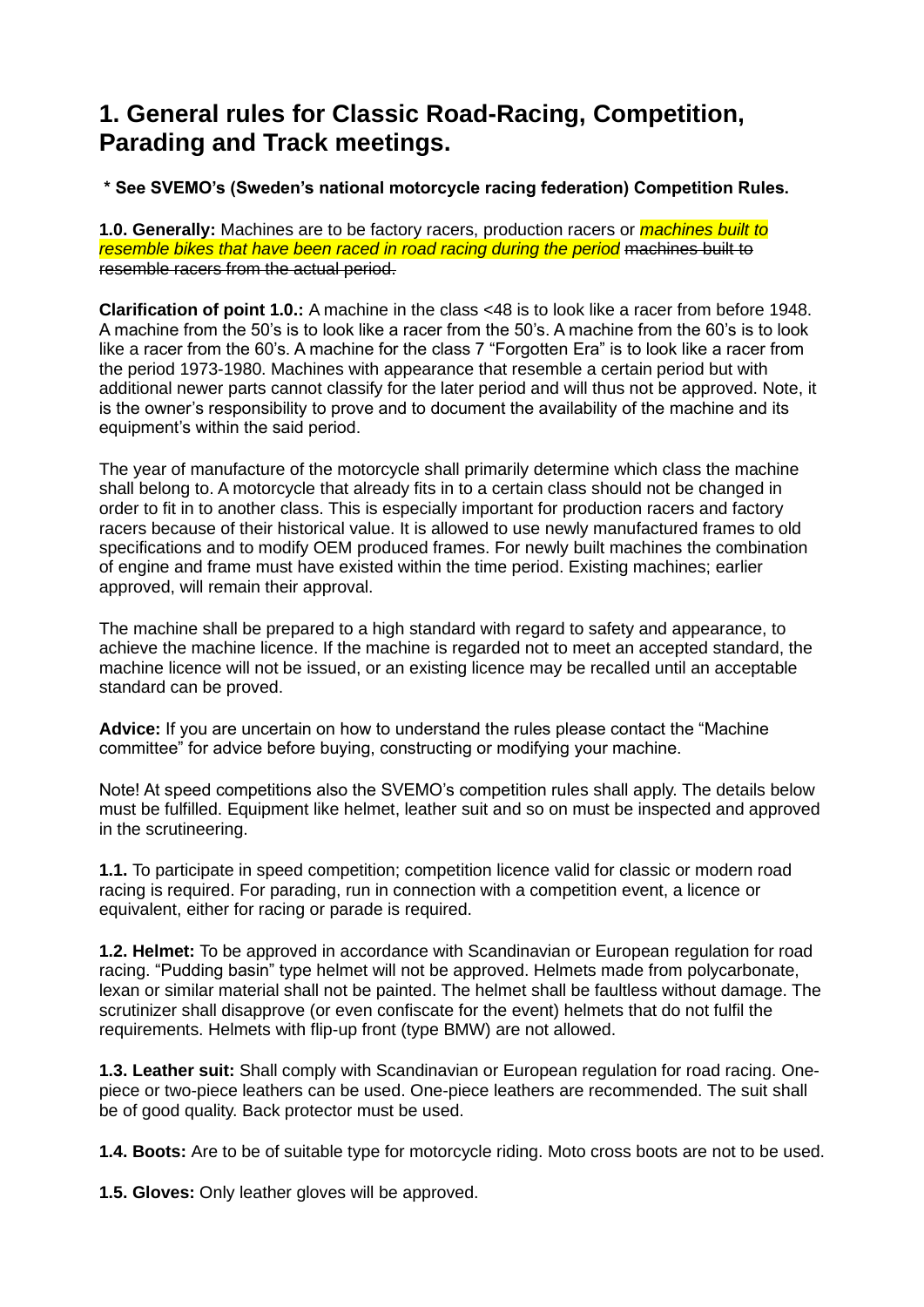# **1. General rules for Classic Road-Racing, Competition, Parading and Track meetings.**

**\* See SVEMO's (Sweden's national motorcycle racing federation) Competition Rules.**

**1.0. Generally:** Machines are to be factory racers, production racers or *machines built to resemble bikes that have been raced in road racing during the period* machines built to resemble racers from the actual period.

**Clarification of point 1.0.:** A machine in the class <48 is to look like a racer from before 1948. A machine from the 50's is to look like a racer from the 50's. A machine from the 60's is to look like a racer from the 60's. A machine for the class 7 "Forgotten Era" is to look like a racer from the period 1973-1980. Machines with appearance that resemble a certain period but with additional newer parts cannot classify for the later period and will thus not be approved. Note, it is the owner's responsibility to prove and to document the availability of the machine and its equipment's within the said period.

The year of manufacture of the motorcycle shall primarily determine which class the machine shall belong to. A motorcycle that already fits in to a certain class should not be changed in order to fit in to another class. This is especially important for production racers and factory racers because of their historical value. It is allowed to use newly manufactured frames to old specifications and to modify OEM produced frames. For newly built machines the combination of engine and frame must have existed within the time period. Existing machines; earlier approved, will remain their approval.

The machine shall be prepared to a high standard with regard to safety and appearance, to achieve the machine licence. If the machine is regarded not to meet an accepted standard, the machine licence will not be issued, or an existing licence may be recalled until an acceptable standard can be proved.

**Advice:** If you are uncertain on how to understand the rules please contact the "Machine committee" for advice before buying, constructing or modifying your machine.

Note! At speed competitions also the SVEMO's competition rules shall apply. The details below must be fulfilled. Equipment like helmet, leather suit and so on must be inspected and approved in the scrutineering.

**1.1.** To participate in speed competition; competition licence valid for classic or modern road racing is required. For parading, run in connection with a competition event, a licence or equivalent, either for racing or parade is required.

**1.2. Helmet:** To be approved in accordance with Scandinavian or European regulation for road racing. "Pudding basin" type helmet will not be approved. Helmets made from polycarbonate, lexan or similar material shall not be painted. The helmet shall be faultless without damage. The scrutinizer shall disapprove (or even confiscate for the event) helmets that do not fulfil the requirements. Helmets with flip-up front (type BMW) are not allowed.

**1.3. Leather suit:** Shall comply with Scandinavian or European regulation for road racing. Onepiece or two-piece leathers can be used. One-piece leathers are recommended. The suit shall be of good quality. Back protector must be used.

**1.4. Boots:** Are to be of suitable type for motorcycle riding. Moto cross boots are not to be used.

**1.5. Gloves:** Only leather gloves will be approved.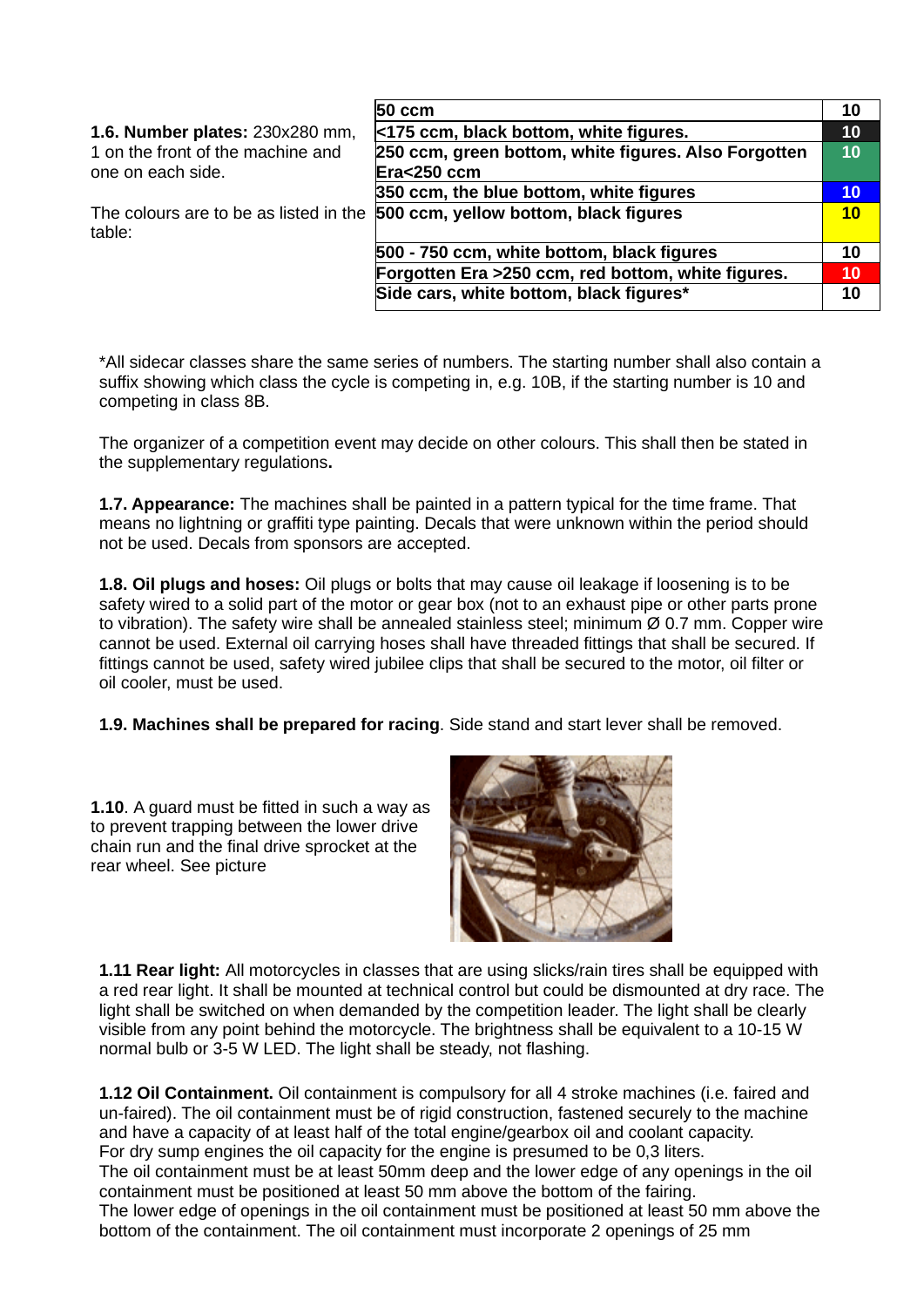|                                   | $50 \text{ cm}$                                                              | 10 |
|-----------------------------------|------------------------------------------------------------------------------|----|
| 1.6. Number plates: 230x280 mm,   | <175 ccm, black bottom, white figures.                                       | 10 |
| 1 on the front of the machine and | 250 ccm, green bottom, white figures. Also Forgotten                         | 10 |
| one on each side.                 | Era<250 ccm                                                                  |    |
|                                   | 350 ccm, the blue bottom, white figures                                      | 10 |
| table:                            | The colours are to be as listed in the 500 ccm, yellow bottom, black figures | 10 |
|                                   | 500 - 750 ccm, white bottom, black figures                                   | 10 |
|                                   | Forgotten Era >250 ccm, red bottom, white figures.                           | 10 |
|                                   | Side cars, white bottom, black figures*                                      | 10 |

\*All sidecar classes share the same series of numbers. The starting number shall also contain a suffix showing which class the cycle is competing in, e.g. 10B, if the starting number is 10 and competing in class 8B.

The organizer of a competition event may decide on other colours. This shall then be stated in the supplementary regulations**.**

**1.7. Appearance:** The machines shall be painted in a pattern typical for the time frame. That means no lightning or graffiti type painting. Decals that were unknown within the period should not be used. Decals from sponsors are accepted.

**1.8. Oil plugs and hoses:** Oil plugs or bolts that may cause oil leakage if loosening is to be safety wired to a solid part of the motor or gear box (not to an exhaust pipe or other parts prone to vibration). The safety wire shall be annealed stainless steel; minimum Ø 0.7 mm. Copper wire cannot be used. External oil carrying hoses shall have threaded fittings that shall be secured. If fittings cannot be used, safety wired jubilee clips that shall be secured to the motor, oil filter or oil cooler, must be used.

**1.9. Machines shall be prepared for racing**. Side stand and start lever shall be removed.

**1.10**. A guard must be fitted in such a way as to prevent trapping between the lower drive chain run and the final drive sprocket at the rear wheel. See picture



**1.11 Rear light:** All motorcycles in classes that are using slicks/rain tires shall be equipped with a red rear light. It shall be mounted at technical control but could be dismounted at dry race. The light shall be switched on when demanded by the competition leader. The light shall be clearly visible from any point behind the motorcycle. The brightness shall be equivalent to a 10-15 W normal bulb or 3-5 W LED. The light shall be steady, not flashing.

**1.12 Oil Containment.** Oil containment is compulsory for all 4 stroke machines (i.e. faired and un-faired). The oil containment must be of rigid construction, fastened securely to the machine and have a capacity of at least half of the total engine/gearbox oil and coolant capacity. For dry sump engines the oil capacity for the engine is presumed to be 0,3 liters. The oil containment must be at least 50mm deep and the lower edge of any openings in the oil containment must be positioned at least 50 mm above the bottom of the fairing. The lower edge of openings in the oil containment must be positioned at least 50 mm above the bottom of the containment. The oil containment must incorporate 2 openings of 25 mm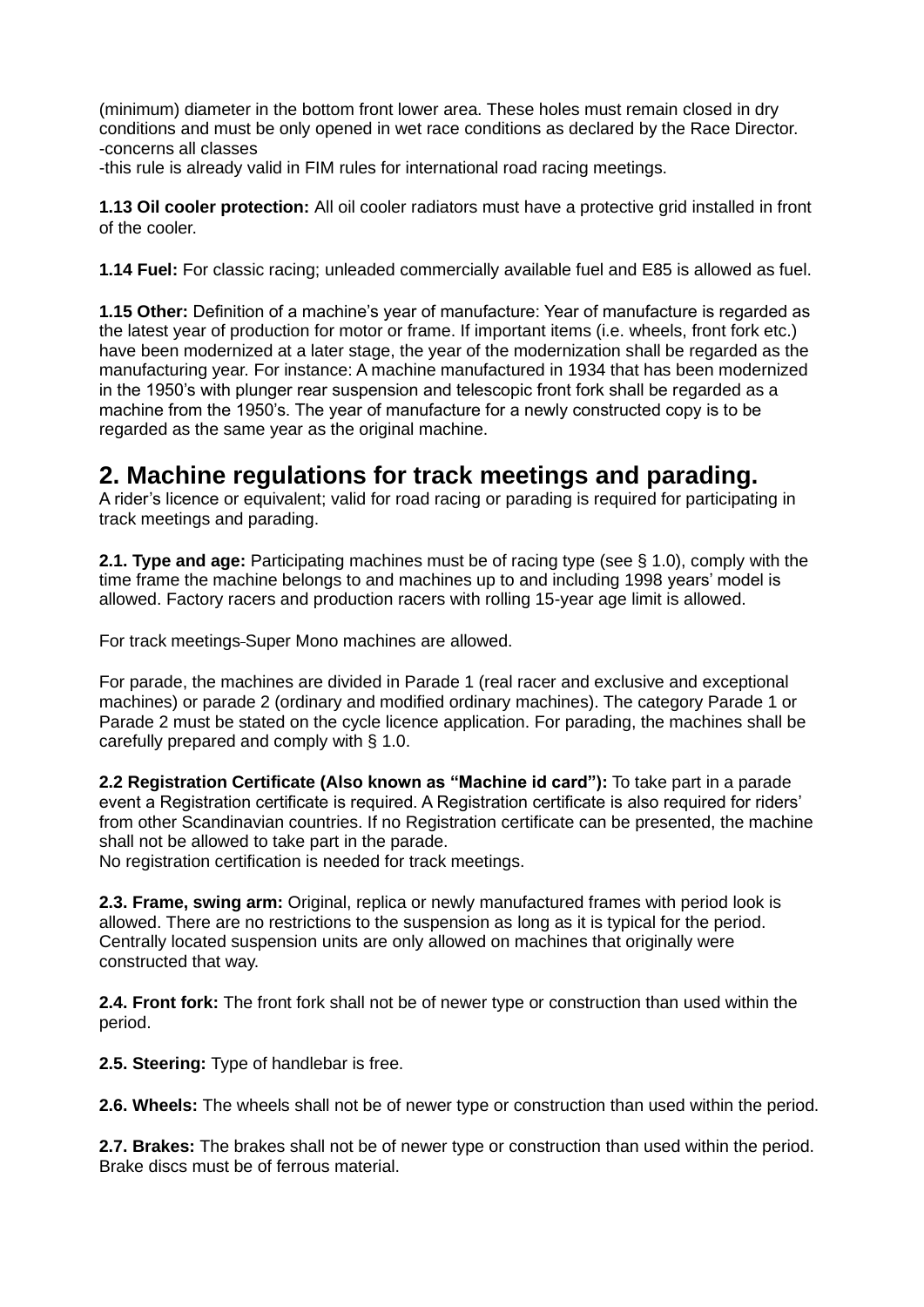(minimum) diameter in the bottom front lower area. These holes must remain closed in dry conditions and must be only opened in wet race conditions as declared by the Race Director. -concerns all classes

-this rule is already valid in FIM rules for international road racing meetings.

**1.13 Oil cooler protection:** All oil cooler radiators must have a protective grid installed in front of the cooler.

**1.14 Fuel:** For classic racing; unleaded commercially available fuel and E85 is allowed as fuel.

**1.15 Other:** Definition of a machine's year of manufacture: Year of manufacture is regarded as the latest year of production for motor or frame. If important items (i.e. wheels, front fork etc.) have been modernized at a later stage, the year of the modernization shall be regarded as the manufacturing year. For instance: A machine manufactured in 1934 that has been modernized in the 1950's with plunger rear suspension and telescopic front fork shall be regarded as a machine from the 1950's. The year of manufacture for a newly constructed copy is to be regarded as the same year as the original machine.

# **2. Machine regulations for track meetings and parading.**

A rider's licence or equivalent; valid for road racing or parading is required for participating in track meetings and parading.

**2.1. Type and age:** Participating machines must be of racing type (see § 1.0), comply with the time frame the machine belongs to and machines up to and including 1998 years' model is allowed. Factory racers and production racers with rolling 15-year age limit is allowed.

For track meetings Super Mono machines are allowed.

For parade, the machines are divided in Parade 1 (real racer and exclusive and exceptional machines) or parade 2 (ordinary and modified ordinary machines). The category Parade 1 or Parade 2 must be stated on the cycle licence application. For parading, the machines shall be carefully prepared and comply with § 1.0.

**2.2 Registration Certificate (Also known as "Machine id card"):** To take part in a parade event a Registration certificate is required. A Registration certificate is also required for riders' from other Scandinavian countries. If no Registration certificate can be presented, the machine shall not be allowed to take part in the parade.

No registration certification is needed for track meetings.

**2.3. Frame, swing arm:** Original, replica or newly manufactured frames with period look is allowed. There are no restrictions to the suspension as long as it is typical for the period. Centrally located suspension units are only allowed on machines that originally were constructed that way.

**2.4. Front fork:** The front fork shall not be of newer type or construction than used within the period.

**2.5. Steering:** Type of handlebar is free.

**2.6. Wheels:** The wheels shall not be of newer type or construction than used within the period.

**2.7. Brakes:** The brakes shall not be of newer type or construction than used within the period. Brake discs must be of ferrous material.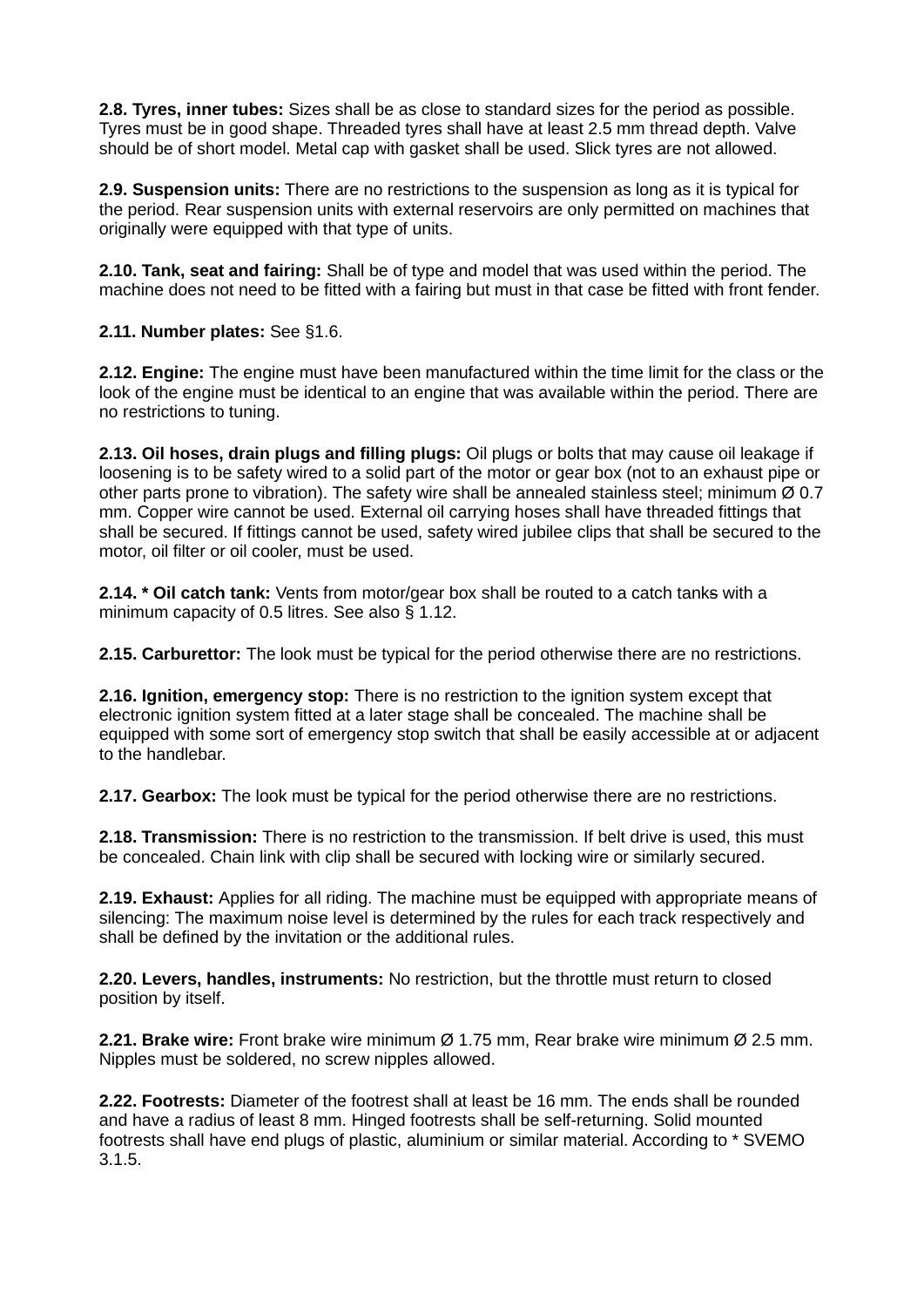**2.8. Tyres, inner tubes:** Sizes shall be as close to standard sizes for the period as possible. Tyres must be in good shape. Threaded tyres shall have at least 2.5 mm thread depth. Valve should be of short model. Metal cap with gasket shall be used. Slick tyres are not allowed.

**2.9. Suspension units:** There are no restrictions to the suspension as long as it is typical for the period. Rear suspension units with external reservoirs are only permitted on machines that originally were equipped with that type of units.

**2.10. Tank, seat and fairing:** Shall be of type and model that was used within the period. The machine does not need to be fitted with a fairing but must in that case be fitted with front fender.

**2.11. Number plates:** See §1.6.

**2.12. Engine:** The engine must have been manufactured within the time limit for the class or the look of the engine must be identical to an engine that was available within the period. There are no restrictions to tuning.

**2.13. Oil hoses, drain plugs and filling plugs:** Oil plugs or bolts that may cause oil leakage if loosening is to be safety wired to a solid part of the motor or gear box (not to an exhaust pipe or other parts prone to vibration). The safety wire shall be annealed stainless steel; minimum  $\varnothing$  0.7 mm. Copper wire cannot be used. External oil carrying hoses shall have threaded fittings that shall be secured. If fittings cannot be used, safety wired jubilee clips that shall be secured to the motor, oil filter or oil cooler, must be used.

**2.14. \* Oil catch tank:** Vents from motor/gear box shall be routed to a catch tanks with a minimum capacity of 0.5 litres. See also § 1.12.

**2.15. Carburettor:** The look must be typical for the period otherwise there are no restrictions.

**2.16. Ignition, emergency stop:** There is no restriction to the ignition system except that electronic ignition system fitted at a later stage shall be concealed. The machine shall be equipped with some sort of emergency stop switch that shall be easily accessible at or adjacent to the handlebar.

**2.17. Gearbox:** The look must be typical for the period otherwise there are no restrictions.

**2.18. Transmission:** There is no restriction to the transmission. If belt drive is used, this must be concealed. Chain link with clip shall be secured with locking wire or similarly secured.

**2.19. Exhaust:** Applies for all riding. The machine must be equipped with appropriate means of silencing: The maximum noise level is determined by the rules for each track respectively and shall be defined by the invitation or the additional rules.

**2.20. Levers, handles, instruments:** No restriction, but the throttle must return to closed position by itself.

**2.21. Brake wire:** Front brake wire minimum Ø 1.75 mm, Rear brake wire minimum Ø 2.5 mm. Nipples must be soldered, no screw nipples allowed.

**2.22. Footrests:** Diameter of the footrest shall at least be 16 mm. The ends shall be rounded and have a radius of least 8 mm. Hinged footrests shall be self-returning. Solid mounted footrests shall have end plugs of plastic, aluminium or similar material. According to \* SVEMO 3.1.5.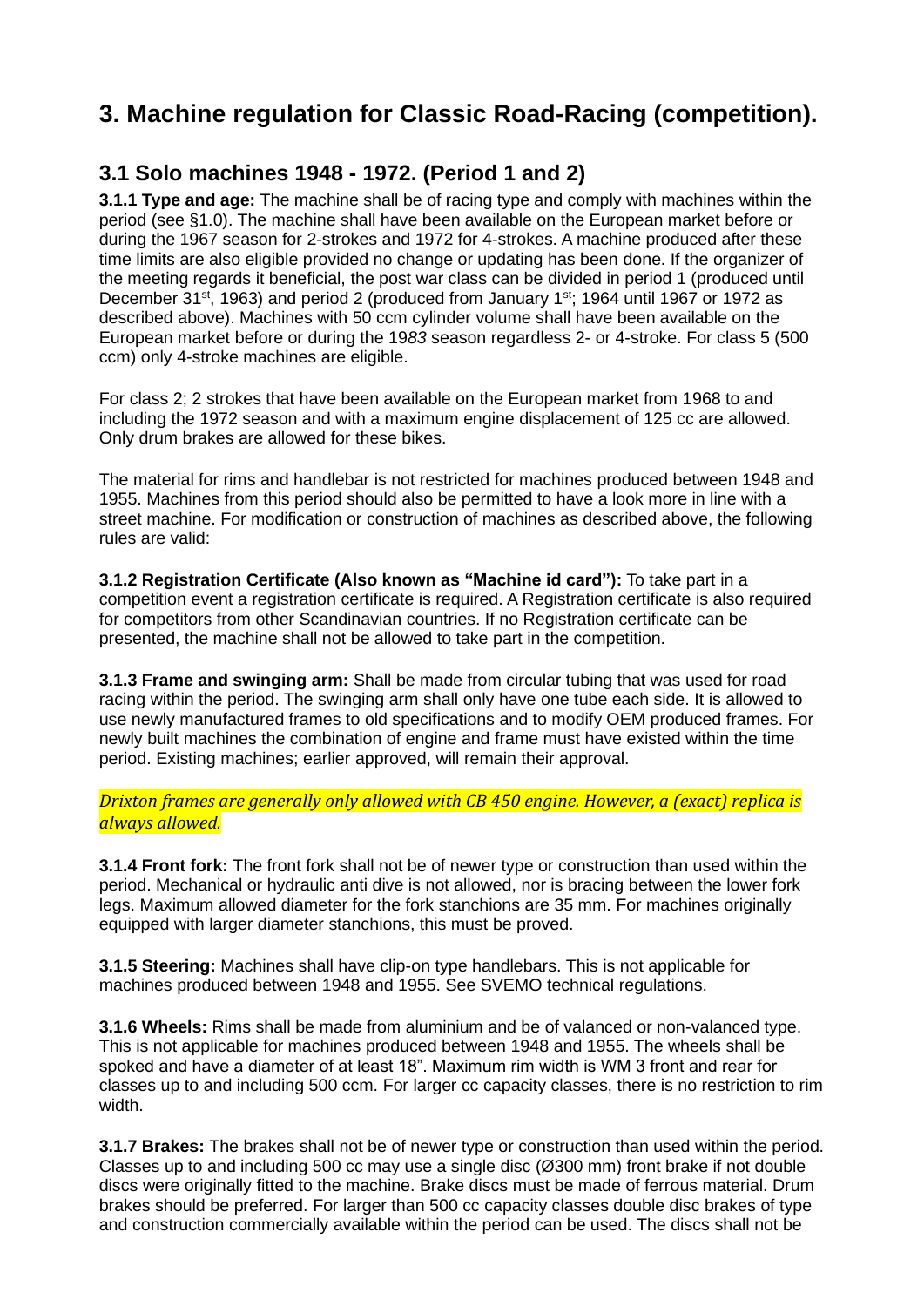# **3. Machine regulation for Classic Road-Racing (competition).**

# **3.1 Solo machines 1948 - 1972. (Period 1 and 2)**

**3.1.1 Type and age:** The machine shall be of racing type and comply with machines within the period (see §1.0). The machine shall have been available on the European market before or during the 1967 season for 2-strokes and 1972 for 4-strokes. A machine produced after these time limits are also eligible provided no change or updating has been done. If the organizer of the meeting regards it beneficial, the post war class can be divided in period 1 (produced until December 31<sup>st</sup>, 1963) and period 2 (produced from January 1<sup>st</sup>; 1964 until 1967 or 1972 as described above). Machines with 50 ccm cylinder volume shall have been available on the European market before or during the 19*83* season regardless 2- or 4-stroke. For class 5 (500 ccm) only 4-stroke machines are eligible.

For class 2; 2 strokes that have been available on the European market from 1968 to and including the 1972 season and with a maximum engine displacement of 125 cc are allowed. Only drum brakes are allowed for these bikes.

The material for rims and handlebar is not restricted for machines produced between 1948 and 1955. Machines from this period should also be permitted to have a look more in line with a street machine. For modification or construction of machines as described above, the following rules are valid:

**3.1.2 Registration Certificate (Also known as "Machine id card"):** To take part in a competition event a registration certificate is required. A Registration certificate is also required for competitors from other Scandinavian countries. If no Registration certificate can be presented, the machine shall not be allowed to take part in the competition.

**3.1.3 Frame and swinging arm:** Shall be made from circular tubing that was used for road racing within the period. The swinging arm shall only have one tube each side. It is allowed to use newly manufactured frames to old specifications and to modify OEM produced frames. For newly built machines the combination of engine and frame must have existed within the time period. Existing machines; earlier approved, will remain their approval.

*Drixton frames are generally only allowed with CB 450 engine. However, a (exact) replica is always allowed.*

**3.1.4 Front fork:** The front fork shall not be of newer type or construction than used within the period. Mechanical or hydraulic anti dive is not allowed, nor is bracing between the lower fork legs. Maximum allowed diameter for the fork stanchions are 35 mm. For machines originally equipped with larger diameter stanchions, this must be proved.

**3.1.5 Steering:** Machines shall have clip-on type handlebars. This is not applicable for machines produced between 1948 and 1955. See SVEMO technical regulations.

**3.1.6 Wheels:** Rims shall be made from aluminium and be of valanced or non-valanced type. This is not applicable for machines produced between 1948 and 1955. The wheels shall be spoked and have a diameter of at least 18". Maximum rim width is WM 3 front and rear for classes up to and including 500 ccm. For larger cc capacity classes, there is no restriction to rim width.

**3.1.7 Brakes:** The brakes shall not be of newer type or construction than used within the period. Classes up to and including 500 cc may use a single disc (Ø300 mm) front brake if not double discs were originally fitted to the machine. Brake discs must be made of ferrous material. Drum brakes should be preferred. For larger than 500 cc capacity classes double disc brakes of type and construction commercially available within the period can be used. The discs shall not be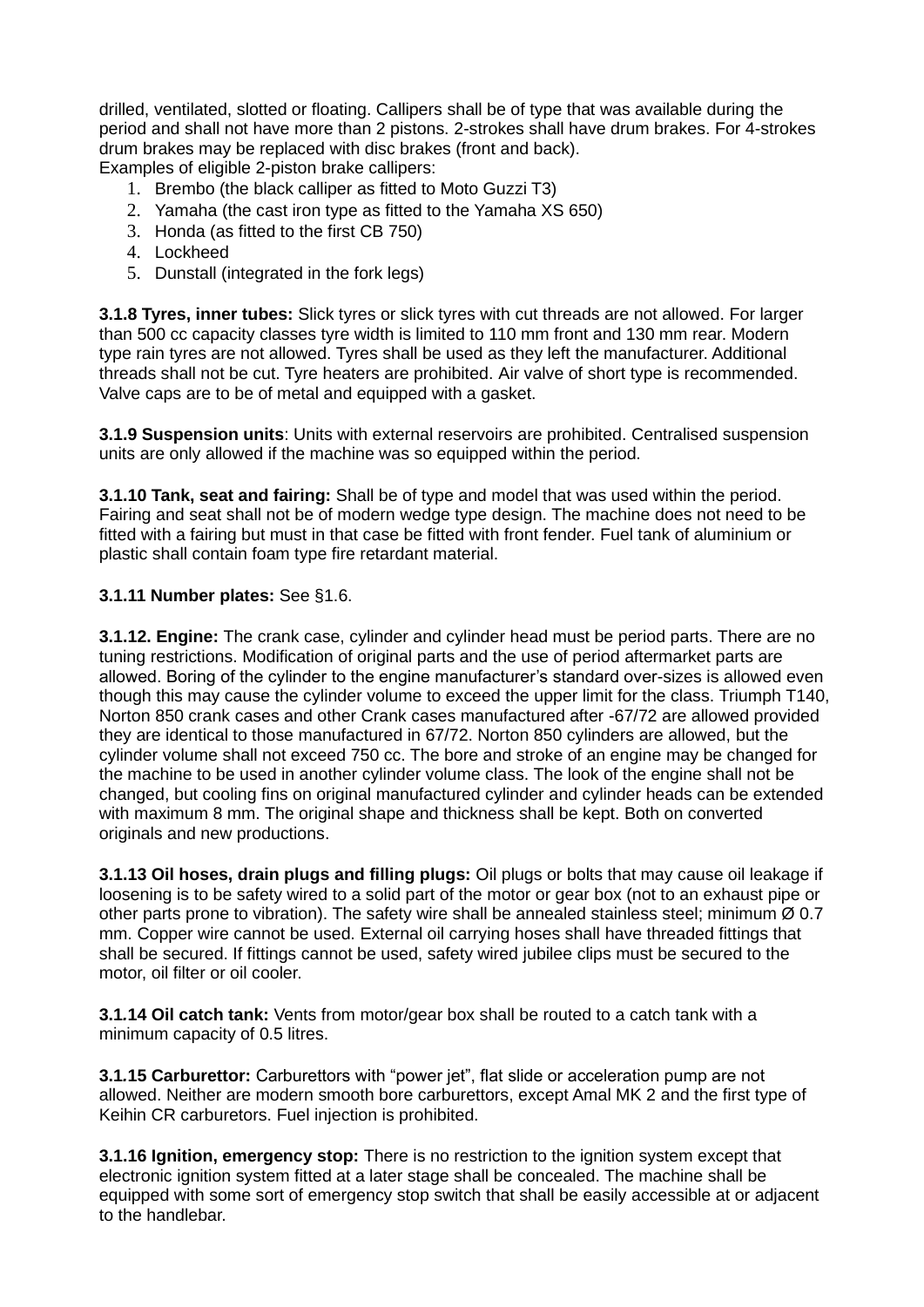drilled, ventilated, slotted or floating. Callipers shall be of type that was available during the period and shall not have more than 2 pistons. 2-strokes shall have drum brakes. For 4-strokes drum brakes may be replaced with disc brakes (front and back).

Examples of eligible 2-piston brake callipers:

- 1. Brembo (the black calliper as fitted to Moto Guzzi T3)
- 2. Yamaha (the cast iron type as fitted to the Yamaha XS 650)
- 3. Honda (as fitted to the first CB 750)
- 4. Lockheed
- 5. Dunstall (integrated in the fork legs)

**3.1.8 Tyres, inner tubes:** Slick tyres or slick tyres with cut threads are not allowed. For larger than 500 cc capacity classes tyre width is limited to 110 mm front and 130 mm rear. Modern type rain tyres are not allowed. Tyres shall be used as they left the manufacturer. Additional threads shall not be cut. Tyre heaters are prohibited. Air valve of short type is recommended. Valve caps are to be of metal and equipped with a gasket.

**3.1.9 Suspension units**: Units with external reservoirs are prohibited. Centralised suspension units are only allowed if the machine was so equipped within the period.

**3.1.10 Tank, seat and fairing:** Shall be of type and model that was used within the period. Fairing and seat shall not be of modern wedge type design. The machine does not need to be fitted with a fairing but must in that case be fitted with front fender. Fuel tank of aluminium or plastic shall contain foam type fire retardant material.

#### **3.1.11 Number plates:** See §1.6.

**3.1.12. Engine:** The crank case, cylinder and cylinder head must be period parts. There are no tuning restrictions. Modification of original parts and the use of period aftermarket parts are allowed. Boring of the cylinder to the engine manufacturer's standard over-sizes is allowed even though this may cause the cylinder volume to exceed the upper limit for the class. Triumph T140, Norton 850 crank cases and other Crank cases manufactured after -67/72 are allowed provided they are identical to those manufactured in 67/72. Norton 850 cylinders are allowed, but the cylinder volume shall not exceed 750 cc. The bore and stroke of an engine may be changed for the machine to be used in another cylinder volume class. The look of the engine shall not be changed, but cooling fins on original manufactured cylinder and cylinder heads can be extended with maximum 8 mm. The original shape and thickness shall be kept. Both on converted originals and new productions.

**3.1.13 Oil hoses, drain plugs and filling plugs:** Oil plugs or bolts that may cause oil leakage if loosening is to be safety wired to a solid part of the motor or gear box (not to an exhaust pipe or other parts prone to vibration). The safety wire shall be annealed stainless steel; minimum Ø 0.7 mm. Copper wire cannot be used. External oil carrying hoses shall have threaded fittings that shall be secured. If fittings cannot be used, safety wired jubilee clips must be secured to the motor, oil filter or oil cooler.

**3.1***.***14 Oil catch tank:** Vents from motor/gear box shall be routed to a catch tank with a minimum capacity of 0.5 litres.

**3.1***.***15 Carburettor:** Carburettors with "power jet", flat slide or acceleration pump are not allowed. Neither are modern smooth bore carburettors, except Amal MK 2 and the first type of Keihin CR carburetors. Fuel injection is prohibited.

**3.1.16 Ignition, emergency stop:** There is no restriction to the ignition system except that electronic ignition system fitted at a later stage shall be concealed. The machine shall be equipped with some sort of emergency stop switch that shall be easily accessible at or adjacent to the handlebar.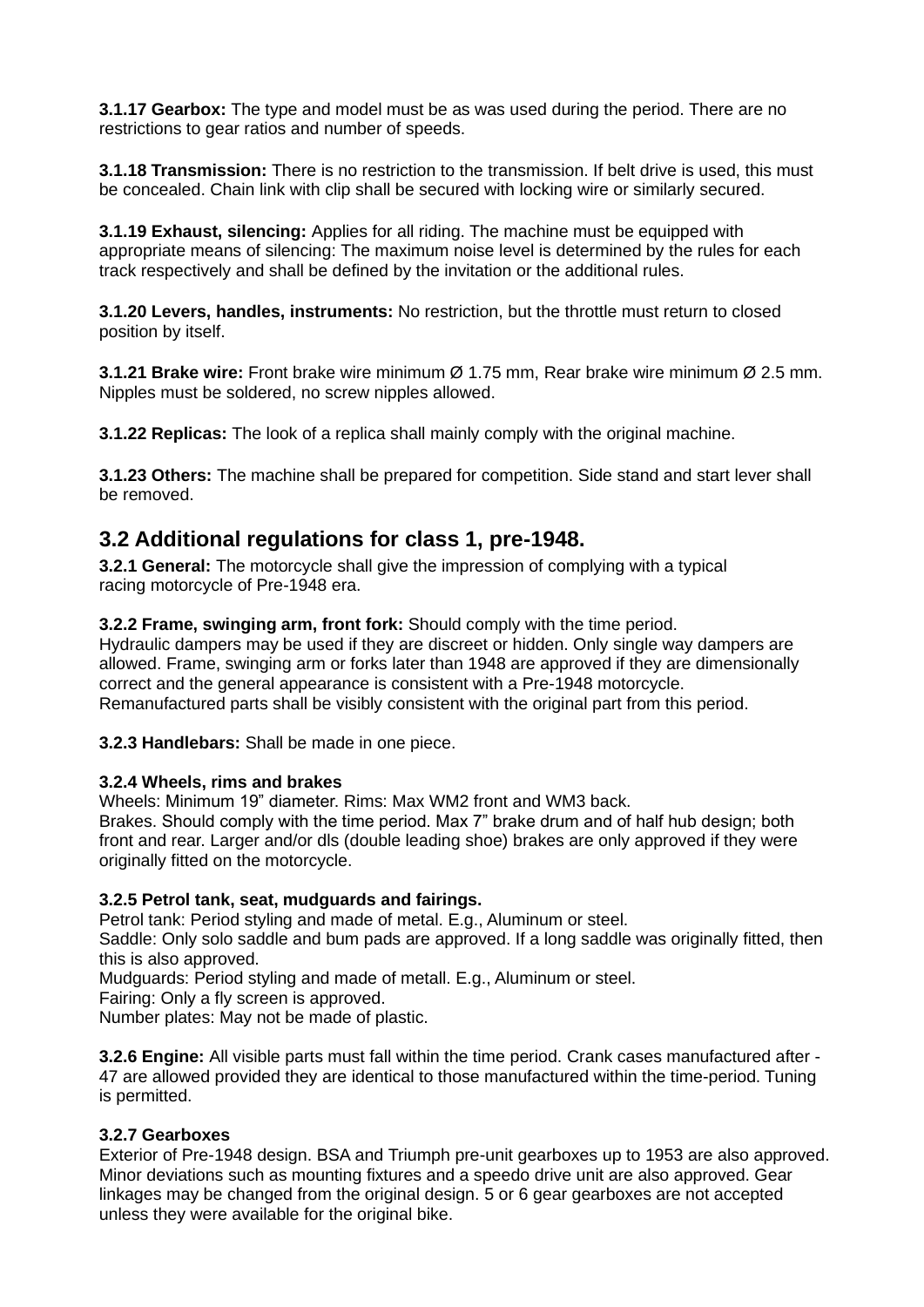**3.1.17 Gearbox:** The type and model must be as was used during the period. There are no restrictions to gear ratios and number of speeds.

**3.1.18 Transmission:** There is no restriction to the transmission. If belt drive is used, this must be concealed. Chain link with clip shall be secured with locking wire or similarly secured.

**3.1.19 Exhaust, silencing:** Applies for all riding. The machine must be equipped with appropriate means of silencing: The maximum noise level is determined by the rules for each track respectively and shall be defined by the invitation or the additional rules.

**3.1.20 Levers, handles, instruments:** No restriction, but the throttle must return to closed position by itself.

**3.1.21 Brake wire:** Front brake wire minimum Ø 1.75 mm, Rear brake wire minimum Ø 2.5 mm. Nipples must be soldered, no screw nipples allowed.

**3.1.22 Replicas:** The look of a replica shall mainly comply with the original machine.

**3.1.23 Others:** The machine shall be prepared for competition. Side stand and start lever shall be removed.

# **3.2 Additional regulations for class 1, pre-1948.**

**3.2.1 General:** The motorcycle shall give the impression of complying with a typical racing motorcycle of Pre-1948 era.

**3.2.2 Frame, swinging arm, front fork:** Should comply with the time period. Hydraulic dampers may be used if they are discreet or hidden. Only single way dampers are allowed. Frame, swinging arm or forks later than 1948 are approved if they are dimensionally correct and the general appearance is consistent with a Pre-1948 motorcycle. Remanufactured parts shall be visibly consistent with the original part from this period.

**3.2.3 Handlebars:** Shall be made in one piece.

#### **3.2.4 Wheels, rims and brakes**

Wheels: Minimum 19" diameter. Rims: Max WM2 front and WM3 back.

Brakes. Should comply with the time period. Max 7" brake drum and of half hub design; both front and rear. Larger and/or dls (double leading shoe) brakes are only approved if they were originally fitted on the motorcycle.

#### **3.2.5 Petrol tank, seat, mudguards and fairings.**

Petrol tank: Period styling and made of metal. E.g., Aluminum or steel.

Saddle: Only solo saddle and bum pads are approved. If a long saddle was originally fitted, then this is also approved.

Mudguards: Period styling and made of metall. E.g., Aluminum or steel.

Fairing: Only a fly screen is approved.

Number plates: May not be made of plastic.

**3.2.6 Engine:** All visible parts must fall within the time period. Crank cases manufactured after - 47 are allowed provided they are identical to those manufactured within the time-period. Tuning is permitted.

#### **3.2.7 Gearboxes**

Exterior of Pre-1948 design. BSA and Triumph pre-unit gearboxes up to 1953 are also approved. Minor deviations such as mounting fixtures and a speedo drive unit are also approved. Gear linkages may be changed from the original design. 5 or 6 gear gearboxes are not accepted unless they were available for the original bike.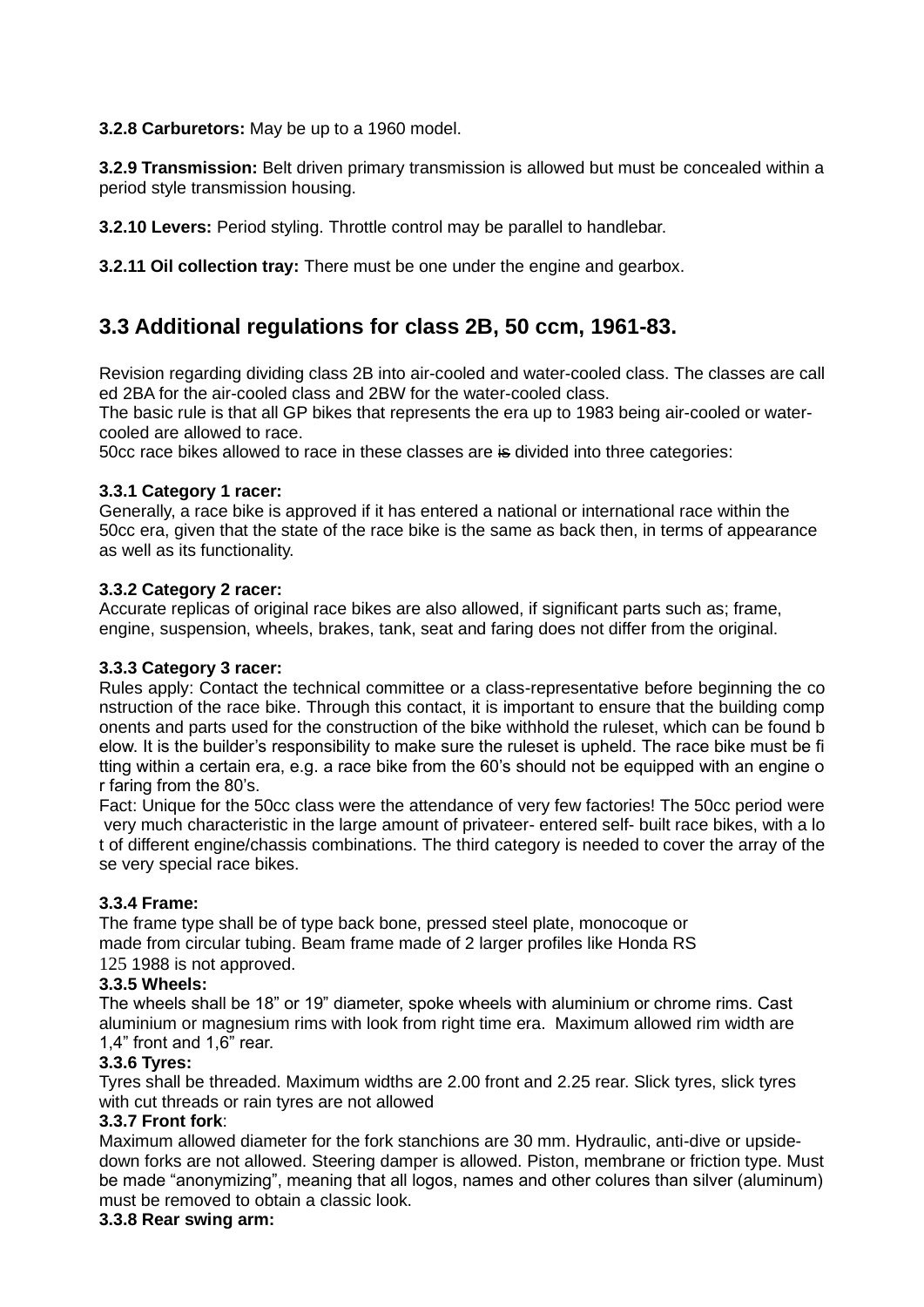**3.2.8 Carburetors:** May be up to a 1960 model.

**3.2.9 Transmission:** Belt driven primary transmission is allowed but must be concealed within a period style transmission housing.

**3.2.10 Levers:** Period styling. Throttle control may be parallel to handlebar.

**3.2.11 Oil collection tray:** There must be one under the engine and gearbox.

# **3.3 Additional regulations for class 2B, 50 ccm, 1961-83.**

Revision regarding dividing class 2B into air-cooled and water-cooled class. The classes are call ed 2BA for the air-cooled class and 2BW for the water-cooled class.

The basic rule is that all GP bikes that represents the era up to 1983 being air-cooled or watercooled are allowed to race.

50cc race bikes allowed to race in these classes are is divided into three categories:

#### **3.3.1 Category 1 racer:**

Generally, a race bike is approved if it has entered a national or international race within the 50cc era, given that the state of the race bike is the same as back then, in terms of appearance as well as its functionality.

#### **3.3.2 Category 2 racer:**

Accurate replicas of original race bikes are also allowed, if significant parts such as; frame, engine, suspension, wheels, brakes, tank, seat and faring does not differ from the original.

#### **3.3.3 Category 3 racer:**

Rules apply: Contact the technical committee or a class-representative before beginning the co nstruction of the race bike. Through this contact, it is important to ensure that the building comp onents and parts used for the construction of the bike withhold the ruleset, which can be found b elow. It is the builder's responsibility to make sure the ruleset is upheld. The race bike must be fi tting within a certain era, e.g. a race bike from the 60's should not be equipped with an engine o r faring from the 80's.

Fact: Unique for the 50cc class were the attendance of very few factories! The 50cc period were very much characteristic in the large amount of privateer- entered self- built race bikes, with a lo t of different engine/chassis combinations. The third category is needed to cover the array of the se very special race bikes.

## **3.3.4 Frame:**

The frame type shall be of type back bone, pressed steel plate, monocoque or made from circular tubing. Beam frame made of 2 larger profiles like Honda RS 125 1988 is not approved.

#### **3.3.5 Wheels:**

The wheels shall be 18" or 19" diameter, spoke wheels with aluminium or chrome rims. Cast aluminium or magnesium rims with look from right time era. Maximum allowed rim width are 1,4" front and 1,6" rear.

#### **3.3.6 Tyres:**

Tyres shall be threaded. Maximum widths are 2.00 front and 2.25 rear. Slick tyres, slick tyres with cut threads or rain tyres are not allowed

#### **3.3.7 Front fork**:

Maximum allowed diameter for the fork stanchions are 30 mm. Hydraulic, anti-dive or upsidedown forks are not allowed. Steering damper is allowed. Piston, membrane or friction type. Must be made "anonymizing", meaning that all logos, names and other colures than silver (aluminum) must be removed to obtain a classic look.

## **3.3.8 Rear swing arm:**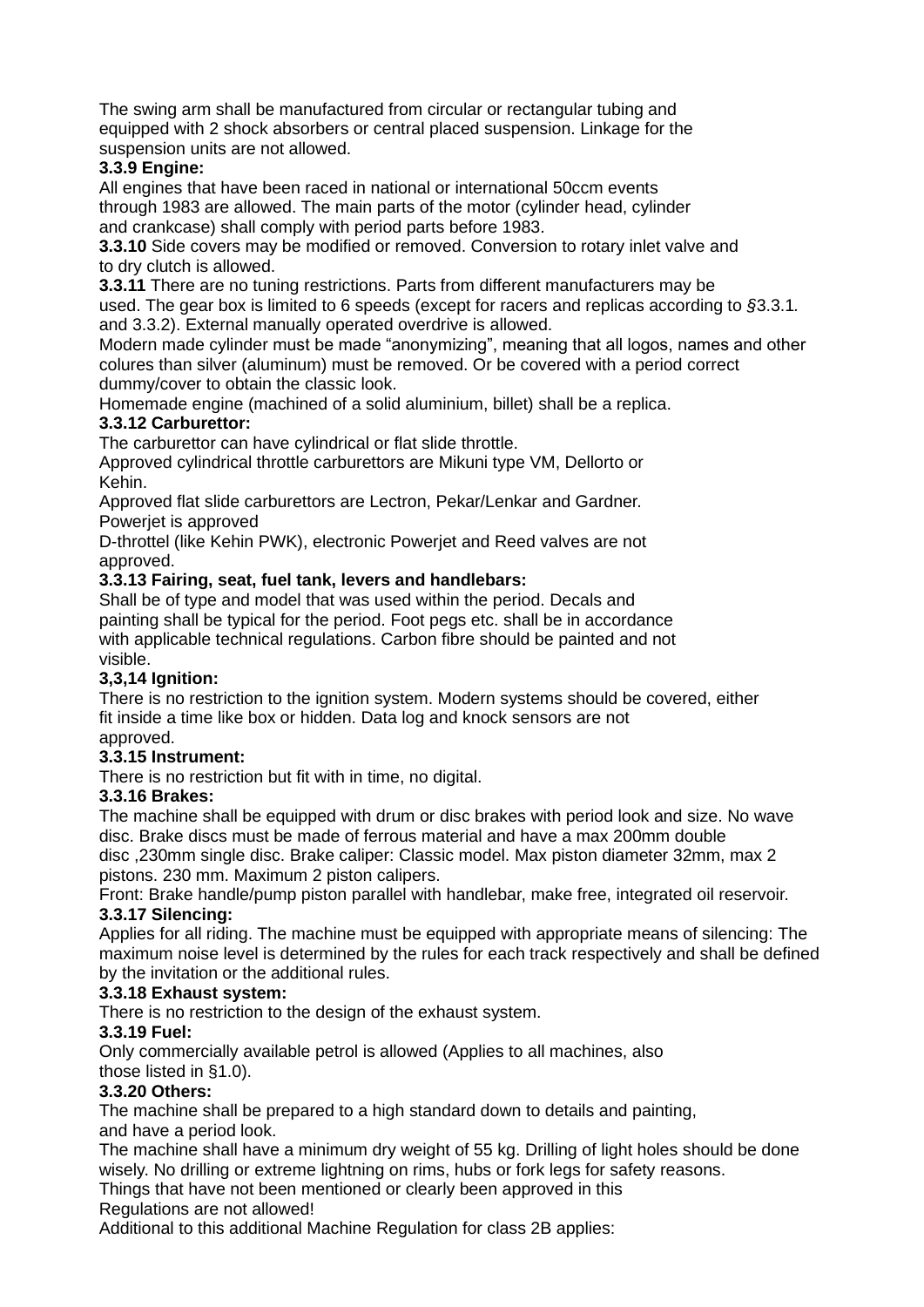The swing arm shall be manufactured from circular or rectangular tubing and equipped with 2 shock absorbers or central placed suspension. Linkage for the suspension units are not allowed.

## **3.3.9 Engine:**

All engines that have been raced in national or international 50ccm events through 1983 are allowed. The main parts of the motor (cylinder head, cylinder and crankcase) shall comply with period parts before 1983.

**3.3.10** Side covers may be modified or removed. Conversion to rotary inlet valve and to dry clutch is allowed.

**3.3.11** There are no tuning restrictions. Parts from different manufacturers may be used. The gear box is limited to 6 speeds (except for racers and replicas according to *§*3.3.1*.* and 3.3.2). External manually operated overdrive is allowed.

Modern made cylinder must be made "anonymizing", meaning that all logos, names and other colures than silver (aluminum) must be removed. Or be covered with a period correct dummy/cover to obtain the classic look.

Homemade engine (machined of a solid aluminium, billet) shall be a replica.

## **3.3.12 Carburettor:**

The carburettor can have cylindrical or flat slide throttle.

Approved cylindrical throttle carburettors are Mikuni type VM, Dellorto or Kehin.

Approved flat slide carburettors are Lectron, Pekar/Lenkar and Gardner. Powerjet is approved

D-throttel (like Kehin PWK), electronic Powerjet and Reed valves are not approved.

## **3.3.13 Fairing, seat, fuel tank, levers and handlebars:**

Shall be of type and model that was used within the period. Decals and painting shall be typical for the period. Foot pegs etc. shall be in accordance with applicable technical regulations. Carbon fibre should be painted and not visible.

## **3,3,14 Ignition:**

There is no restriction to the ignition system. Modern systems should be covered, either fit inside a time like box or hidden. Data log and knock sensors are not approved.

## **3.3.15 Instrument:**

There is no restriction but fit with in time, no digital.

## **3.3.16 Brakes:**

The machine shall be equipped with drum or disc brakes with period look and size. No wave disc. Brake discs must be made of ferrous material and have a max 200mm double

disc ,230mm single disc. Brake caliper: Classic model. Max piston diameter 32mm, max 2 pistons. 230 mm. Maximum 2 piston calipers.

Front: Brake handle/pump piston parallel with handlebar, make free, integrated oil reservoir. **3.3.17 Silencing:**

Applies for all riding. The machine must be equipped with appropriate means of silencing: The maximum noise level is determined by the rules for each track respectively and shall be defined by the invitation or the additional rules.

## **3.3.18 Exhaust system:**

There is no restriction to the design of the exhaust system.

## **3.3.19 Fuel:**

Only commercially available petrol is allowed (Applies to all machines, also those listed in §1.0).

## **3.3.20 Others:**

The machine shall be prepared to a high standard down to details and painting, and have a period look.

The machine shall have a minimum dry weight of 55 kg. Drilling of light holes should be done wisely. No drilling or extreme lightning on rims, hubs or fork legs for safety reasons.

Things that have not been mentioned or clearly been approved in this

Regulations are not allowed!

Additional to this additional Machine Regulation for class 2B applies: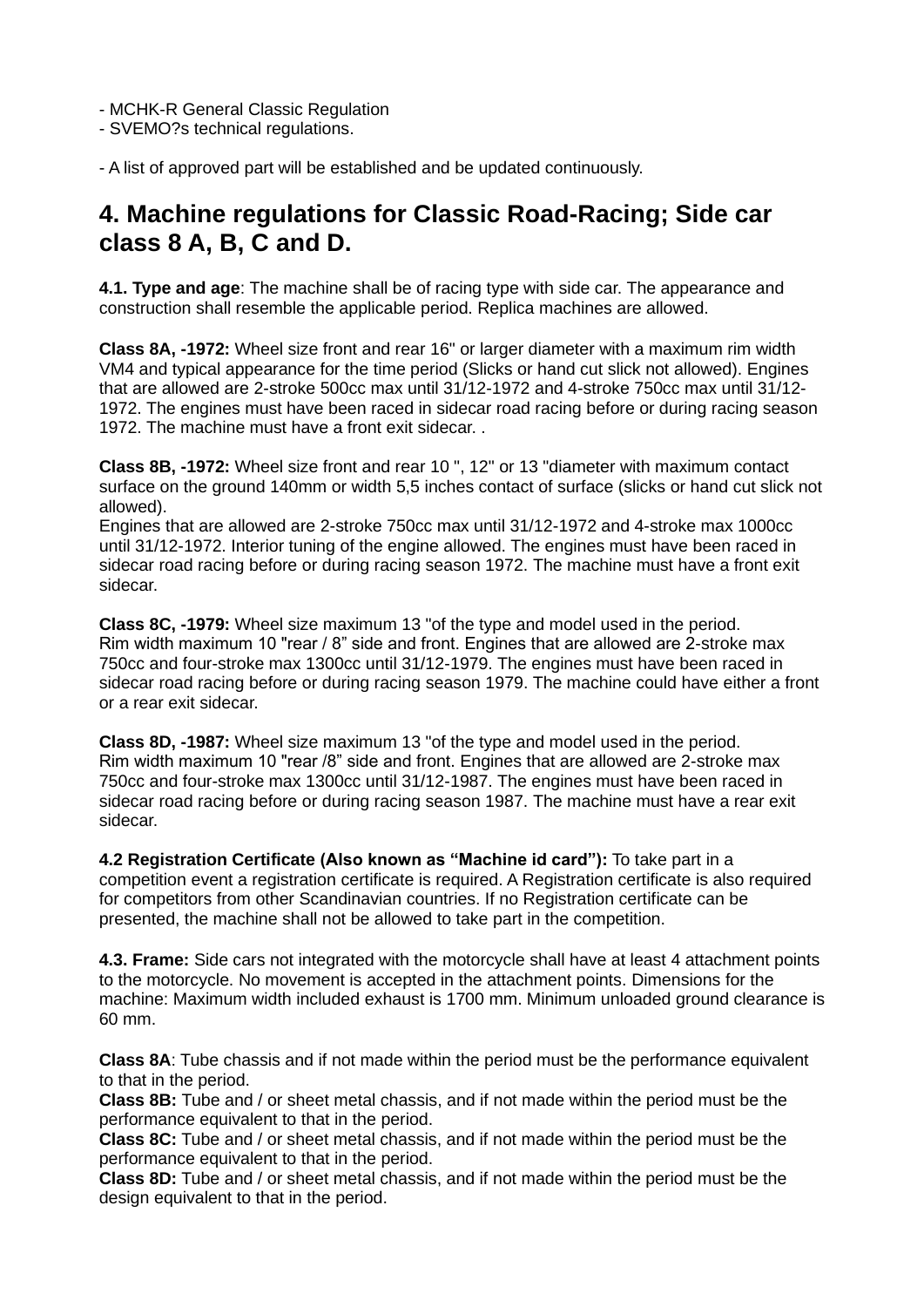- MCHK-R General Classic Regulation

- SVEMO?s technical regulations.

- A list of approved part will be established and be updated continuously.

# **4. Machine regulations for Classic Road-Racing; Side car class 8 A, B, C and D.**

**4.1. Type and age**: The machine shall be of racing type with side car. The appearance and construction shall resemble the applicable period. Replica machines are allowed.

**Class 8A, -1972:** Wheel size front and rear 16" or larger diameter with a maximum rim width VM4 and typical appearance for the time period (Slicks or hand cut slick not allowed). Engines that are allowed are 2-stroke 500cc max until 31/12-1972 and 4-stroke 750cc max until 31/12- 1972. The engines must have been raced in sidecar road racing before or during racing season 1972. The machine must have a front exit sidecar. .

**Class 8B, -1972:** Wheel size front and rear 10 ", 12" or 13 "diameter with maximum contact surface on the ground 140mm or width 5,5 inches contact of surface (slicks or hand cut slick not allowed).

Engines that are allowed are 2-stroke 750cc max until 31/12-1972 and 4-stroke max 1000cc until 31/12-1972. Interior tuning of the engine allowed. The engines must have been raced in sidecar road racing before or during racing season 1972. The machine must have a front exit sidecar.

**Class 8C, -1979:** Wheel size maximum 13 "of the type and model used in the period. Rim width maximum 10 "rear / 8" side and front. Engines that are allowed are 2-stroke max 750cc and four-stroke max 1300cc until 31/12-1979. The engines must have been raced in sidecar road racing before or during racing season 1979. The machine could have either a front or a rear exit sidecar.

**Class 8D, -1987:** Wheel size maximum 13 "of the type and model used in the period. Rim width maximum 10 "rear /8" side and front. Engines that are allowed are 2-stroke max 750cc and four-stroke max 1300cc until 31/12-1987. The engines must have been raced in sidecar road racing before or during racing season 1987. The machine must have a rear exit sidecar.

**4.2 Registration Certificate (Also known as "Machine id card"):** To take part in a competition event a registration certificate is required. A Registration certificate is also required for competitors from other Scandinavian countries. If no Registration certificate can be presented, the machine shall not be allowed to take part in the competition.

**4.3. Frame:** Side cars not integrated with the motorcycle shall have at least 4 attachment points to the motorcycle. No movement is accepted in the attachment points. Dimensions for the machine: Maximum width included exhaust is 1700 mm. Minimum unloaded ground clearance is 60 mm.

**Class 8A**: Tube chassis and if not made within the period must be the performance equivalent to that in the period.

**Class 8B:** Tube and / or sheet metal chassis, and if not made within the period must be the performance equivalent to that in the period.

**Class 8C:** Tube and / or sheet metal chassis, and if not made within the period must be the performance equivalent to that in the period.

**Class 8D:** Tube and / or sheet metal chassis, and if not made within the period must be the design equivalent to that in the period.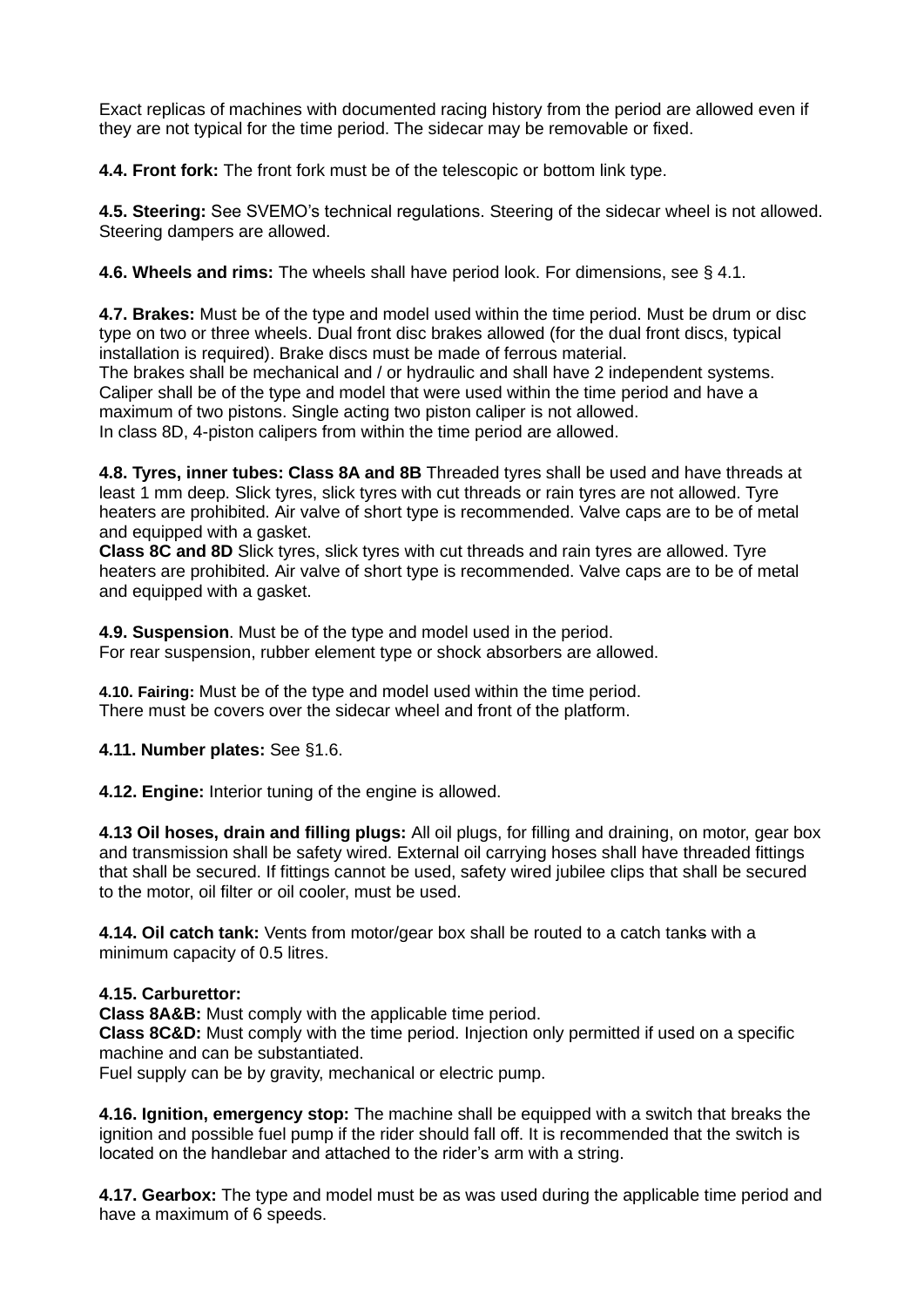Exact replicas of machines with documented racing history from the period are allowed even if they are not typical for the time period. The sidecar may be removable or fixed.

**4.4. Front fork:** The front fork must be of the telescopic or bottom link type.

**4.5. Steering:** See SVEMO's technical regulations. Steering of the sidecar wheel is not allowed. Steering dampers are allowed.

**4.6. Wheels and rims:** The wheels shall have period look. For dimensions, see § 4.1.

**4.7. Brakes:** Must be of the type and model used within the time period. Must be drum or disc type on two or three wheels. Dual front disc brakes allowed (for the dual front discs, typical installation is required). Brake discs must be made of ferrous material.

The brakes shall be mechanical and / or hydraulic and shall have 2 independent systems. Caliper shall be of the type and model that were used within the time period and have a maximum of two pistons. Single acting two piston caliper is not allowed. In class 8D, 4-piston calipers from within the time period are allowed.

**4.8. Tyres, inner tubes: Class 8A and 8B** Threaded tyres shall be used and have threads at least 1 mm deep. Slick tyres, slick tyres with cut threads or rain tyres are not allowed. Tyre heaters are prohibited. Air valve of short type is recommended. Valve caps are to be of metal and equipped with a gasket.

**Class 8C and 8D** Slick tyres, slick tyres with cut threads and rain tyres are allowed. Tyre heaters are prohibited. Air valve of short type is recommended. Valve caps are to be of metal and equipped with a gasket.

**4.9. Suspension**. Must be of the type and model used in the period. For rear suspension, rubber element type or shock absorbers are allowed.

**4.10. Fairing:** Must be of the type and model used within the time period. There must be covers over the sidecar wheel and front of the platform.

**4.11. Number plates:** See §1.6.

**4.12. Engine:** Interior tuning of the engine is allowed.

**4.13 Oil hoses, drain and filling plugs:** All oil plugs, for filling and draining, on motor, gear box and transmission shall be safety wired. External oil carrying hoses shall have threaded fittings that shall be secured. If fittings cannot be used, safety wired jubilee clips that shall be secured to the motor, oil filter or oil cooler, must be used.

**4.14. Oil catch tank:** Vents from motor/gear box shall be routed to a catch tanks with a minimum capacity of 0.5 litres.

#### **4.15. Carburettor:**

**Class 8A&B:** Must comply with the applicable time period.

**Class 8C&D:** Must comply with the time period. Injection only permitted if used on a specific machine and can be substantiated.

Fuel supply can be by gravity, mechanical or electric pump.

**4.16. Ignition, emergency stop:** The machine shall be equipped with a switch that breaks the ignition and possible fuel pump if the rider should fall off. It is recommended that the switch is located on the handlebar and attached to the rider's arm with a string.

**4.17. Gearbox:** The type and model must be as was used during the applicable time period and have a maximum of 6 speeds.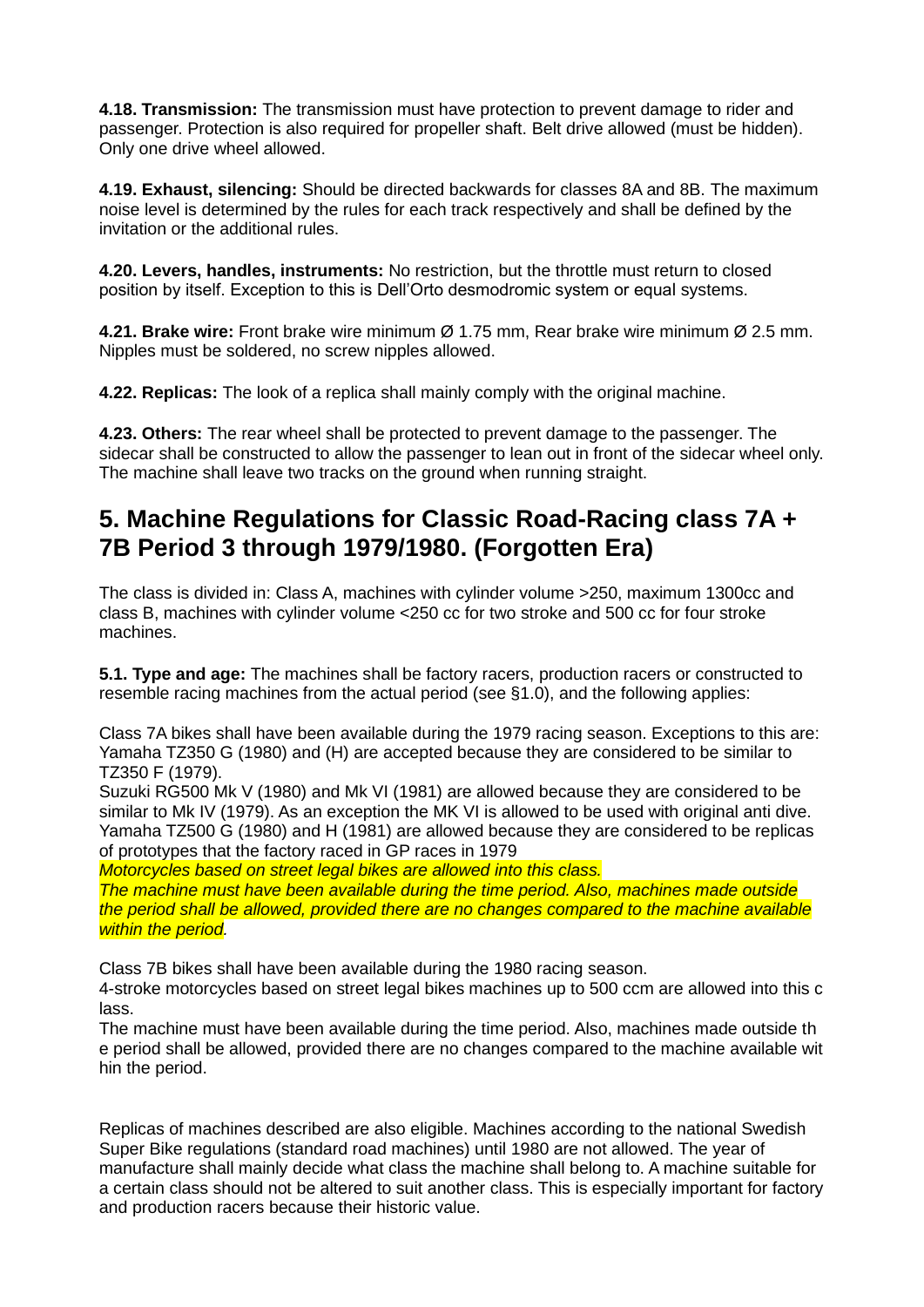**4.18. Transmission:** The transmission must have protection to prevent damage to rider and passenger. Protection is also required for propeller shaft. Belt drive allowed (must be hidden). Only one drive wheel allowed.

**4.19. Exhaust, silencing:** Should be directed backwards for classes 8A and 8B. The maximum noise level is determined by the rules for each track respectively and shall be defined by the invitation or the additional rules.

**4.20. Levers, handles, instruments:** No restriction, but the throttle must return to closed position by itself. Exception to this is Dell'Orto desmodromic system or equal systems.

**4.21. Brake wire:** Front brake wire minimum Ø 1.75 mm, Rear brake wire minimum Ø 2.5 mm. Nipples must be soldered, no screw nipples allowed.

**4.22. Replicas:** The look of a replica shall mainly comply with the original machine.

**4.23. Others:** The rear wheel shall be protected to prevent damage to the passenger. The sidecar shall be constructed to allow the passenger to lean out in front of the sidecar wheel only. The machine shall leave two tracks on the ground when running straight.

# **5. Machine Regulations for Classic Road-Racing class 7A + 7B Period 3 through 1979/1980. (Forgotten Era)**

The class is divided in: Class A, machines with cylinder volume >250, maximum 1300cc and class B, machines with cylinder volume <250 cc for two stroke and 500 cc for four stroke machines.

**5.1. Type and age:** The machines shall be factory racers, production racers or constructed to resemble racing machines from the actual period (see §1.0), and the following applies:

Class 7A bikes shall have been available during the 1979 racing season. Exceptions to this are: Yamaha TZ350 G (1980) and (H) are accepted because they are considered to be similar to TZ350 F (1979).

Suzuki RG500 Mk V (1980) and Mk VI (1981) are allowed because they are considered to be similar to Mk IV (1979). As an exception the MK VI is allowed to be used with original anti dive. Yamaha TZ500 G (1980) and H (1981) are allowed because they are considered to be replicas of prototypes that the factory raced in GP races in 1979

*Motorcycles based on street legal bikes are allowed into this class.*

*The machine must have been available during the time period. Also, machines made outside the period shall be allowed, provided there are no changes compared to the machine available within the period.*

Class 7B bikes shall have been available during the 1980 racing season.

4-stroke motorcycles based on street legal bikes machines up to 500 ccm are allowed into this c lass.

The machine must have been available during the time period. Also, machines made outside th e period shall be allowed, provided there are no changes compared to the machine available wit hin the period.

Replicas of machines described are also eligible. Machines according to the national Swedish Super Bike regulations (standard road machines) until 1980 are not allowed. The year of manufacture shall mainly decide what class the machine shall belong to. A machine suitable for a certain class should not be altered to suit another class. This is especially important for factory and production racers because their historic value.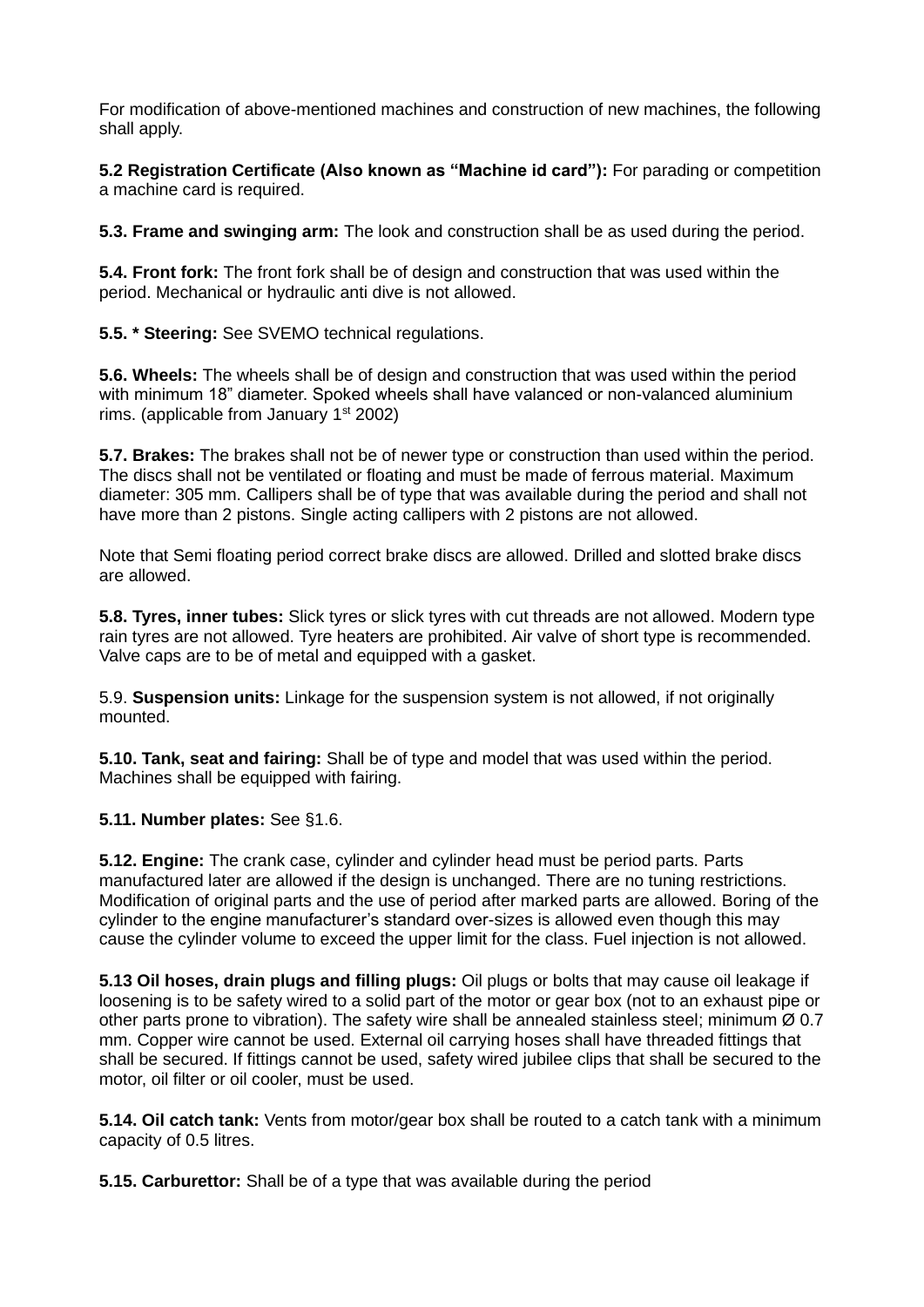For modification of above-mentioned machines and construction of new machines, the following shall apply.

**5.2 Registration Certificate (Also known as "Machine id card"):** For parading or competition a machine card is required.

**5.3. Frame and swinging arm:** The look and construction shall be as used during the period.

**5.4. Front fork:** The front fork shall be of design and construction that was used within the period. Mechanical or hydraulic anti dive is not allowed.

**5.5. \* Steering:** See SVEMO technical regulations.

**5.6. Wheels:** The wheels shall be of design and construction that was used within the period with minimum 18" diameter. Spoked wheels shall have valanced or non-valanced aluminium rims. (applicable from January  $1<sup>st</sup> 2002$ )

**5.7. Brakes:** The brakes shall not be of newer type or construction than used within the period. The discs shall not be ventilated or floating and must be made of ferrous material. Maximum diameter: 305 mm. Callipers shall be of type that was available during the period and shall not have more than 2 pistons. Single acting callipers with 2 pistons are not allowed.

Note that Semi floating period correct brake discs are allowed. Drilled and slotted brake discs are allowed.

**5.8. Tyres, inner tubes:** Slick tyres or slick tyres with cut threads are not allowed. Modern type rain tyres are not allowed. Tyre heaters are prohibited. Air valve of short type is recommended. Valve caps are to be of metal and equipped with a gasket.

5.9. **Suspension units:** Linkage for the suspension system is not allowed, if not originally mounted.

**5.10. Tank, seat and fairing:** Shall be of type and model that was used within the period. Machines shall be equipped with fairing.

**5.11. Number plates:** See §1.6.

**5.12. Engine:** The crank case, cylinder and cylinder head must be period parts. Parts manufactured later are allowed if the design is unchanged. There are no tuning restrictions. Modification of original parts and the use of period after marked parts are allowed. Boring of the cylinder to the engine manufacturer's standard over-sizes is allowed even though this may cause the cylinder volume to exceed the upper limit for the class. Fuel injection is not allowed.

**5.13 Oil hoses, drain plugs and filling plugs:** Oil plugs or bolts that may cause oil leakage if loosening is to be safety wired to a solid part of the motor or gear box (not to an exhaust pipe or other parts prone to vibration). The safety wire shall be annealed stainless steel; minimum  $\varnothing$  0.7 mm. Copper wire cannot be used. External oil carrying hoses shall have threaded fittings that shall be secured. If fittings cannot be used, safety wired jubilee clips that shall be secured to the motor, oil filter or oil cooler, must be used.

**5.14. Oil catch tank:** Vents from motor/gear box shall be routed to a catch tank with a minimum capacity of 0.5 litres.

**5.15. Carburettor:** Shall be of a type that was available during the period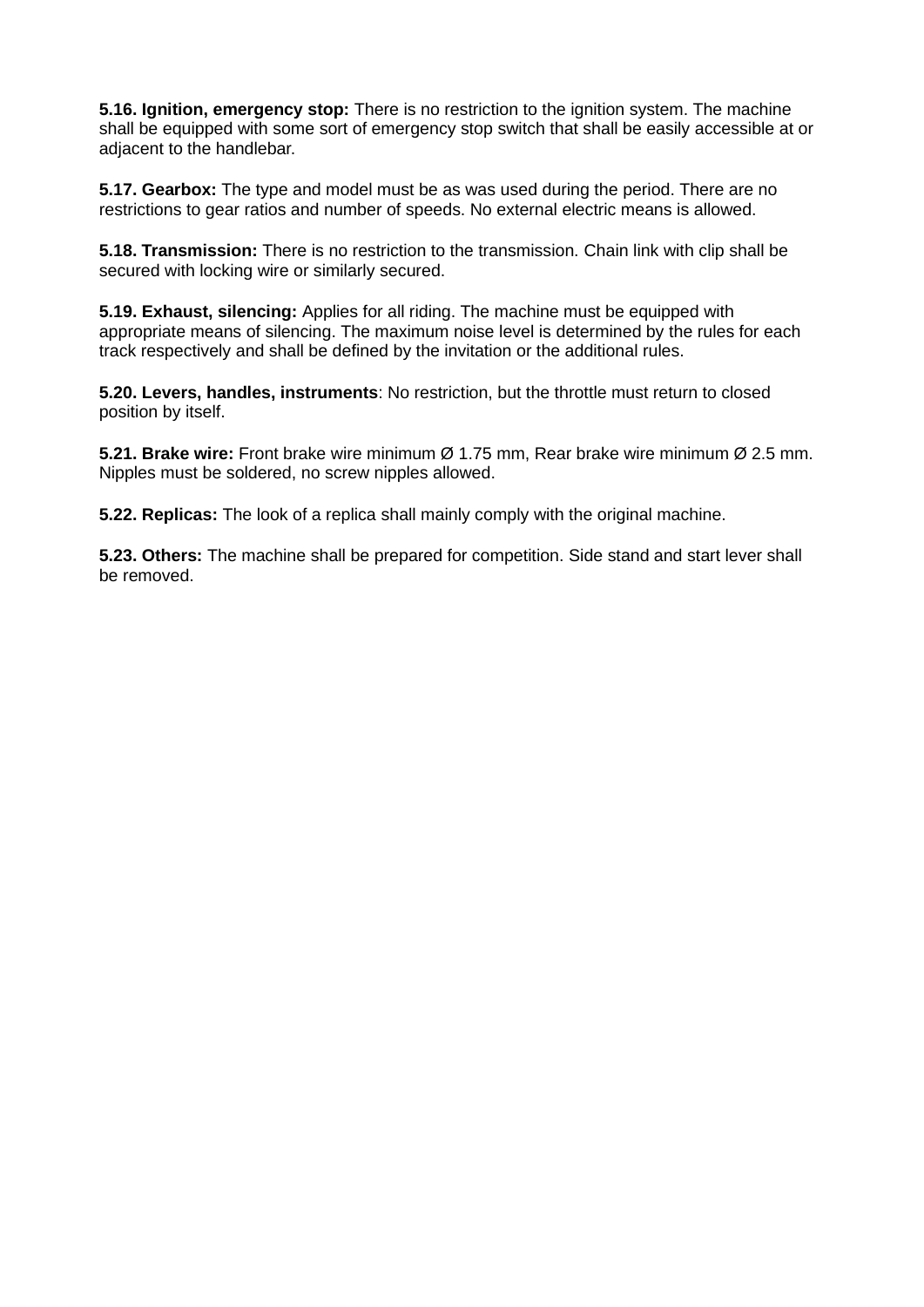**5.16. Ignition, emergency stop:** There is no restriction to the ignition system. The machine shall be equipped with some sort of emergency stop switch that shall be easily accessible at or adjacent to the handlebar.

**5.17. Gearbox:** The type and model must be as was used during the period. There are no restrictions to gear ratios and number of speeds. No external electric means is allowed.

**5.18. Transmission:** There is no restriction to the transmission. Chain link with clip shall be secured with locking wire or similarly secured.

**5.19. Exhaust, silencing:** Applies for all riding. The machine must be equipped with appropriate means of silencing. The maximum noise level is determined by the rules for each track respectively and shall be defined by the invitation or the additional rules.

**5.20. Levers, handles, instruments**: No restriction, but the throttle must return to closed position by itself.

**5.21. Brake wire:** Front brake wire minimum Ø 1.75 mm, Rear brake wire minimum Ø 2.5 mm. Nipples must be soldered, no screw nipples allowed.

**5.22. Replicas:** The look of a replica shall mainly comply with the original machine.

**5.23. Others:** The machine shall be prepared for competition. Side stand and start lever shall be removed.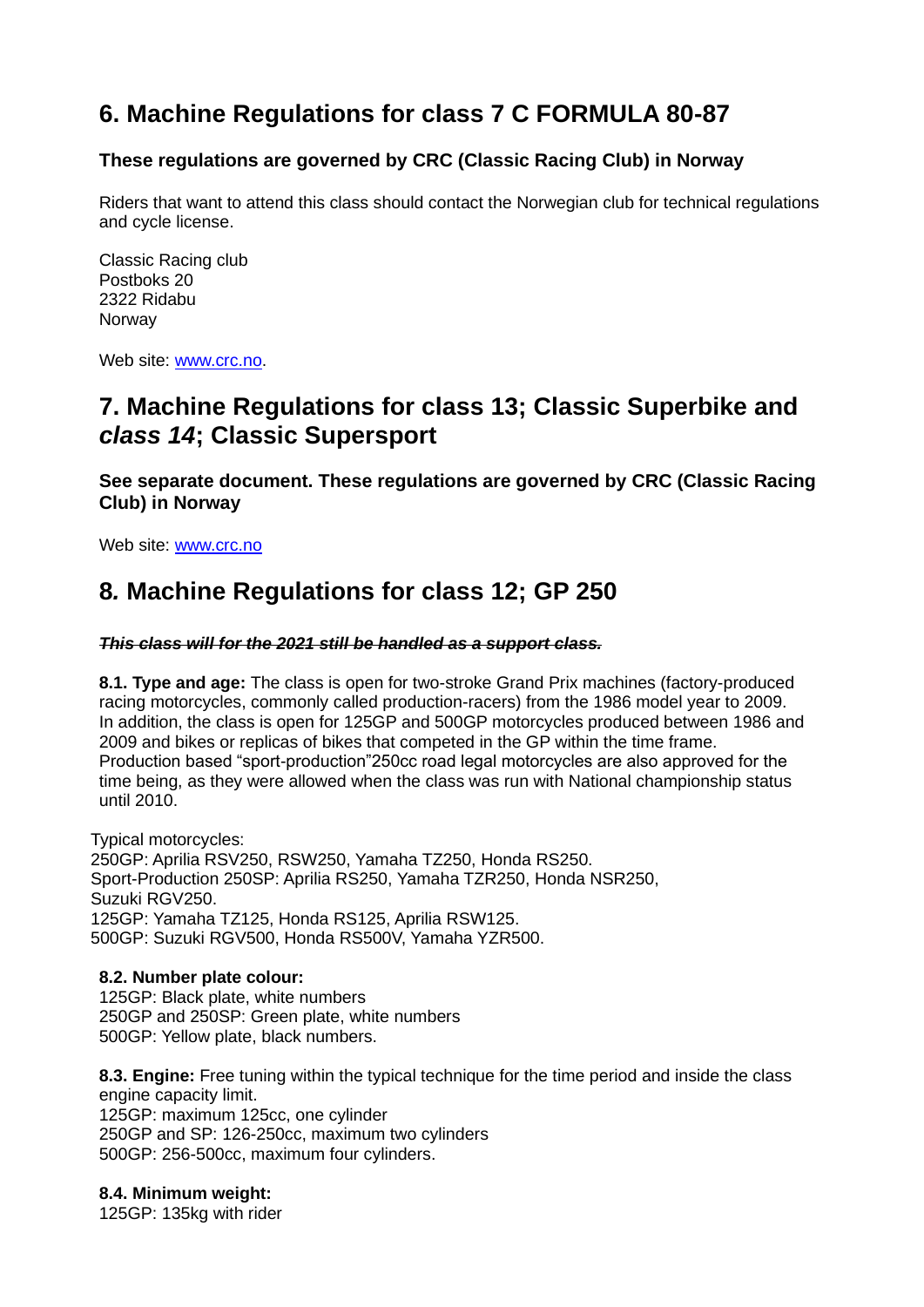# **6. Machine Regulations for class 7 C FORMULA 80-87**

## **These regulations are governed by CRC (Classic Racing Club) in Norway**

Riders that want to attend this class should contact the Norwegian club for technical regulations and cycle license.

Classic Racing club Postboks 20 2322 Ridabu Norway

Web site: [www.crc.no.](http://www.crc.no/)

# **7. Machine Regulations for class 13; Classic Superbike and**  *class 14***; Classic Supersport**

**See separate document. These regulations are governed by CRC (Classic Racing Club) in Norway**

Web site: [www.crc.no](http://www.crc.no/)

# **8***.* **Machine Regulations for class 12; GP 250**

#### *This class will for the 2021 still be handled as a support class.*

**8.1. Type and age:** The class is open for two-stroke Grand Prix machines (factory-produced racing motorcycles, commonly called production-racers) from the 1986 model year to 2009. In addition, the class is open for 125GP and 500GP motorcycles produced between 1986 and 2009 and bikes or replicas of bikes that competed in the GP within the time frame. Production based "sport-production"250cc road legal motorcycles are also approved for the time being, as they were allowed when the class was run with National championship status until 2010.

Typical motorcycles: 250GP: Aprilia RSV250, RSW250, Yamaha TZ250, Honda RS250. Sport-Production 250SP: Aprilia RS250, Yamaha TZR250, Honda NSR250, Suzuki RGV250. 125GP: Yamaha TZ125, Honda RS125, Aprilia RSW125. 500GP: Suzuki RGV500, Honda RS500V, Yamaha YZR500.

#### **8.2. Number plate colour:**

125GP: Black plate, white numbers 250GP and 250SP: Green plate, white numbers 500GP: Yellow plate, black numbers.

**8.3. Engine:** Free tuning within the typical technique for the time period and inside the class engine capacity limit. 125GP: maximum 125cc, one cylinder 250GP and SP: 126-250cc, maximum two cylinders 500GP: 256-500cc, maximum four cylinders.

**8.4. Minimum weight:**

125GP: 135kg with rider